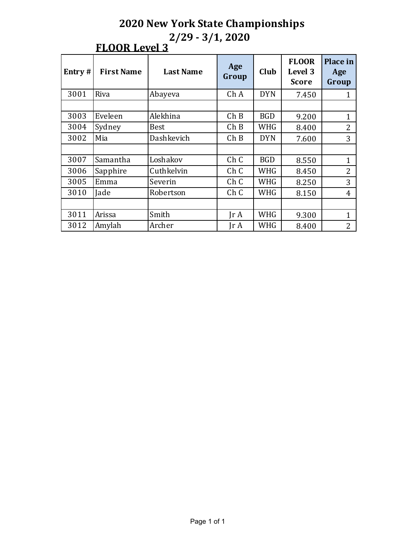| Entry# | <b>First Name</b> | <b>Last Name</b> | Age<br>Group            | Club       | <b>FLOOR</b><br>Level 3<br><b>Score</b> | Place in<br>Age<br>Group |
|--------|-------------------|------------------|-------------------------|------------|-----------------------------------------|--------------------------|
| 3001   | Riva              | Abayeva          | Ch A                    | <b>DYN</b> | 7.450                                   |                          |
|        |                   |                  |                         |            |                                         |                          |
| 3003   | Eveleen           | Alekhina         | Ch B                    | <b>BGD</b> | 9.200                                   | $\mathbf{1}$             |
| 3004   | Sydney            | <b>Best</b>      | Ch B                    | WHG        | 8.400                                   | 2                        |
| 3002   | Mia               | Dashkevich       | Ch B                    | <b>DYN</b> | 7.600                                   | 3                        |
|        |                   |                  |                         |            |                                         |                          |
| 3007   | Samantha          | Loshakov         | Ch C                    | <b>BGD</b> | 8.550                                   | 1                        |
| 3006   | Sapphire          | Cuthkelvin       | ChC                     | <b>WHG</b> | 8.450                                   | $\overline{2}$           |
| 3005   | Emma              | Severin          | Ch C                    | WHG        | 8.250                                   | 3                        |
| 3010   | Jade              | Robertson        | Ch C                    | WHG        | 8.150                                   | 4                        |
|        |                   |                  |                         |            |                                         |                          |
| 3011   | Arissa            | Smith            | $\text{Tr } \mathbf{A}$ | <b>WHG</b> | 9.300                                   | 1                        |
| 3012   | Amylah            | Archer           | $\text{Tr } \mathbf{A}$ | WHG        | 8.400                                   | $\overline{2}$           |

# **FLOOR Level 3**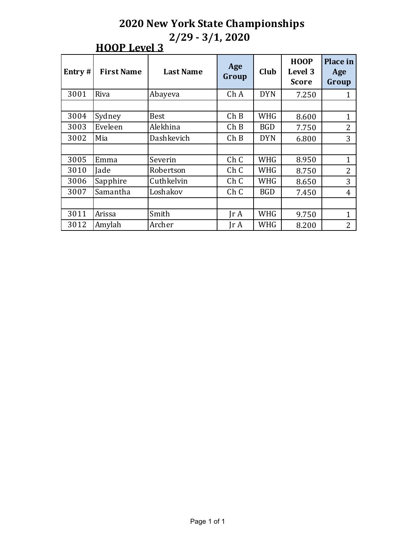| <b>HOOP Level 3</b> |  |
|---------------------|--|
|                     |  |

| Entry# | <b>First Name</b> | <b>Last Name</b>                       | Age<br>Group                 | Club           | <b>HOOP</b><br>Level 3<br><b>Score</b> | <b>Place in</b><br>Age<br>Group |
|--------|-------------------|----------------------------------------|------------------------------|----------------|----------------------------------------|---------------------------------|
| 3001   | Riva              | Abayeva                                | Ch A                         | <b>DYN</b>     | 7.250                                  | 1                               |
|        |                   |                                        |                              |                |                                        |                                 |
| 3004   | Sydney            | <b>Best</b>                            | ChB                          | <b>WHG</b>     | 8.600                                  | $\mathbf{1}$                    |
| 3003   | Eveleen           | Alekhina<br>ChB<br><b>BGD</b><br>7.750 |                              | $\overline{2}$ |                                        |                                 |
| 3002   | Mia               | Dashkevich                             | Ch B                         | <b>DYN</b>     | 6.800                                  | 3                               |
|        |                   |                                        |                              |                |                                        |                                 |
| 3005   | Emma              | Severin                                | Ch C                         | <b>WHG</b>     | 8.950                                  | 1                               |
| 3010   | Jade              | Robertson                              | Ch C                         | WHG            | 8.750                                  | $\overline{2}$                  |
| 3006   | Sapphire          | Cuthkelvin                             | Ch C                         | WHG            | 8.650                                  | 3                               |
| 3007   | Samantha          | Loshakov                               | ChC                          | <b>BGD</b>     | 7.450                                  | 4                               |
|        |                   |                                        |                              |                |                                        |                                 |
| 3011   | Arissa            | Smith                                  | IrA                          | <b>WHG</b>     | 9.750                                  | $\mathbf{1}$                    |
| 3012   | Amylah            | Archer                                 | $\mathop{\rm Ir}\nolimits$ A | WHG            | 8.200                                  | $\overline{2}$                  |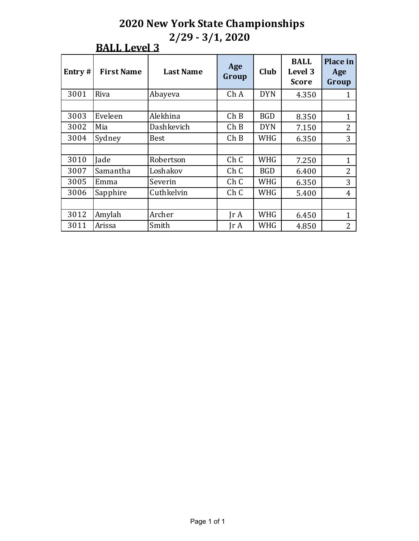| Entry# | <b>First Name</b> | <b>Last Name</b> | Age<br>Group                 | Club       | <b>BALL</b><br>Level 3<br><b>Score</b> | Place in<br>Age<br>Group |
|--------|-------------------|------------------|------------------------------|------------|----------------------------------------|--------------------------|
| 3001   | Riva              | Abayeva          | Ch A                         | <b>DYN</b> | 4.350                                  | 1                        |
|        |                   |                  |                              |            |                                        |                          |
| 3003   | Eveleen           | Alekhina         | Ch B                         | <b>BGD</b> | 8.350                                  | $\mathbf{1}$             |
| 3002   | Mia               | Dashkevich       | Ch B                         | <b>DYN</b> | 7.150                                  | 2                        |
| 3004   | Sydney            | <b>Best</b>      | Ch B                         | WHG        | 6.350                                  | 3                        |
|        |                   |                  |                              |            |                                        |                          |
| 3010   | Jade              | Robertson        | Ch C                         | <b>WHG</b> | 7.250                                  | $\mathbf{1}$             |
| 3007   | Samantha          | Loshakov         | Ch C                         | <b>BGD</b> | 6.400                                  | 2                        |
| 3005   | Emma              | Severin          | Ch C                         | WHG        | 6.350                                  | 3                        |
| 3006   | Sapphire          | Cuthkelvin       | Ch C                         | <b>WHG</b> | 5.400                                  | $\overline{4}$           |
|        |                   |                  |                              |            |                                        |                          |
| 3012   | Amylah            | Archer           | $\mathop{\rm Ir}\nolimits$ A | <b>WHG</b> | 6.450                                  | 1                        |
| 3011   | Arissa            | Smith            | $\mathop{\rm Ir}\nolimits$ A | <b>WHG</b> | 4.850                                  | $\overline{2}$           |

## **BALL Level 3**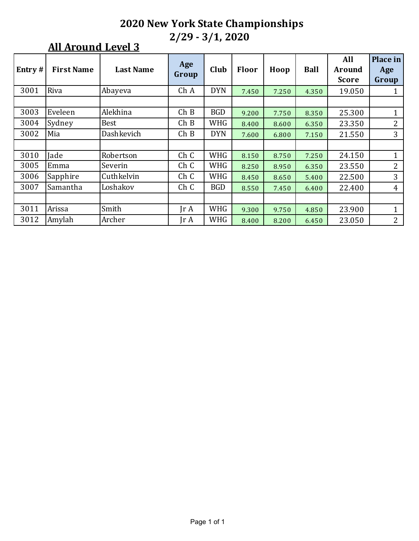| Entry# | <b>First Name</b> | <b>Last Name</b> | Age<br>Group            | Club       | <b>Floor</b> | Hoop  | <b>Ball</b> | All<br>Around<br><b>Score</b> | Place in<br>Age<br>Group |
|--------|-------------------|------------------|-------------------------|------------|--------------|-------|-------------|-------------------------------|--------------------------|
| 3001   | Riva              | Abayeva          | Ch A                    | <b>DYN</b> | 7.450        | 7.250 | 4.350       | 19.050                        | 1                        |
|        |                   |                  |                         |            |              |       |             |                               |                          |
| 3003   | Eveleen           | Alekhina         | ChB                     | <b>BGD</b> | 9.200        | 7.750 | 8.350       | 25.300                        | 1                        |
| 3004   | Sydney            | <b>Best</b>      | ChB                     | <b>WHG</b> | 8.400        | 8.600 | 6.350       | 23.350                        | $\overline{2}$           |
| 3002   | Mia               | Dashkevich       | ChB                     | <b>DYN</b> | 7.600        | 6.800 | 7.150       | 21.550                        | 3                        |
|        |                   |                  |                         |            |              |       |             |                               |                          |
| 3010   | Jade              | Robertson        | Ch C                    | <b>WHG</b> | 8.150        | 8.750 | 7.250       | 24.150                        | $\mathbf{1}$             |
| 3005   | Emma              | Severin          | Ch C                    | <b>WHG</b> | 8.250        | 8.950 | 6.350       | 23.550                        | 2                        |
| 3006   | Sapphire          | Cuthkelvin       | Ch C                    | <b>WHG</b> | 8.450        | 8.650 | 5.400       | 22.500                        | 3                        |
| 3007   | Samantha          | Loshakov         | Ch C                    | <b>BGD</b> | 8.550        | 7.450 | 6.400       | 22.400                        | $\overline{4}$           |
|        |                   |                  |                         |            |              |       |             |                               |                          |
| 3011   | Arissa            | Smith            | $\text{Tr } \mathbf{A}$ | WHG        | 9.300        | 9.750 | 4.850       | 23.900                        | 1                        |
| 3012   | Amylah            | Archer           | $\text{Tr } \mathbf{A}$ | WHG        | 8.400        | 8.200 | 6.450       | 23.050                        | $\overline{2}$           |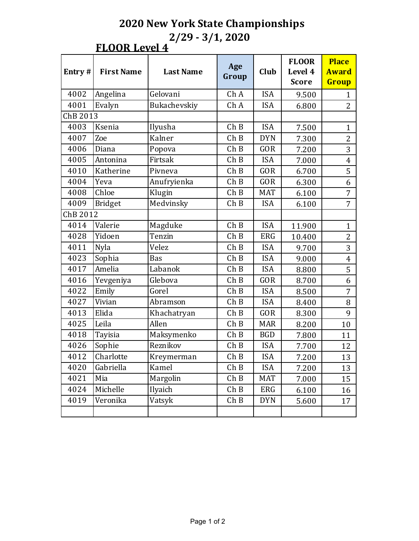### **FLOOR Level 4**

| Entry#   | <b>First Name</b> | <b>Last Name</b>                          | Age<br>Group | Club           | <b>FLOOR</b><br>Level 4<br><b>Score</b> | <b>Place</b><br><b>Award</b><br>Group |
|----------|-------------------|-------------------------------------------|--------------|----------------|-----------------------------------------|---------------------------------------|
| 4002     | Angelina          | Gelovani                                  | ChA          | <b>ISA</b>     | 9.500                                   | $\mathbf{1}$                          |
| 4001     | Evalyn            | Bukachevskiy                              | Ch A         | <b>ISA</b>     | 6.800                                   | $\overline{2}$                        |
| ChB 2013 |                   |                                           |              |                |                                         |                                       |
| 4003     | Ksenia            | Ilyusha                                   | ChB          | <b>ISA</b>     | 7.500                                   | $\mathbf{1}$                          |
| 4007     | Zoe               | Kalner                                    | ChB          | <b>DYN</b>     | 7.300                                   | $\overline{2}$                        |
| 4006     | Diana             | Popova                                    | ChB          | <b>GOR</b>     | 7.200                                   | 3                                     |
| 4005     | Antonina          | Firtsak                                   | ChB          | <b>ISA</b>     | 7.000                                   | $\overline{4}$                        |
| 4010     | Katherine         | Pivneva                                   | ChB          | <b>GOR</b>     | 6.700                                   | 5                                     |
| 4004     | Yeva              | Anufryienka<br>ChB<br><b>GOR</b><br>6.300 |              | 6              |                                         |                                       |
| 4008     | Chloe             | Klugin                                    | ChB          | <b>MAT</b>     | 6.100                                   | $\overline{7}$                        |
| 4009     | <b>Bridget</b>    | Medvinsky<br>ChB<br><b>ISA</b><br>6.100   |              | $\overline{7}$ |                                         |                                       |
| ChB 2012 |                   |                                           |              |                |                                         |                                       |
| 4014     | Valerie           | Magduke                                   | ChB          | <b>ISA</b>     | 11.900                                  | $\mathbf{1}$                          |
| 4028     | Yidoen            | Tenzin                                    | ChB          | <b>ERG</b>     | 10.400                                  | $\overline{2}$                        |
| 4011     | <b>Nyla</b>       | Velez                                     | ChB          | <b>ISA</b>     | 9.700                                   | 3                                     |
| 4023     | Sophia            | Bas                                       | ChB          | <b>ISA</b>     | 9.000                                   | $\overline{4}$                        |
| 4017     | Amelia            | Labanok                                   | ChB          | <b>ISA</b>     | 8.800                                   | 5                                     |
| 4016     | Yevgeniya         | Glebova                                   | ChB          | <b>GOR</b>     | 8.700                                   | 6                                     |
| 4022     | Emily             | Gorel                                     | ChB          | <b>ISA</b>     | 8.500                                   | 7                                     |
| 4027     | Vivian            | Abramson                                  | ChB          | <b>ISA</b>     | 8.400                                   | 8                                     |
| 4013     | Elida             | Khachatryan                               | ChB          | <b>GOR</b>     | 8.300                                   | 9                                     |
| 4025     | Leila             | Allen                                     | ChB          | <b>MAR</b>     | 8.200                                   | 10                                    |
| 4018     | Tayisia           | Maksymenko                                | ChB          | <b>BGD</b>     | 7.800                                   | 11                                    |
| 4026     | Sophie            | Reznikov                                  | ChB          | <b>ISA</b>     | 7.700                                   | 12                                    |
| 4012     | Charlotte         | Kreymerman                                | ChB          | <b>ISA</b>     | 7.200                                   | 13                                    |
| 4020     | Gabriella         | Kamel                                     | ChB          | <b>ISA</b>     | 7.200                                   | 13                                    |
| 4021     | Mia               | Margolin                                  | ChB          | MAT            | 7.000                                   | 15                                    |
| 4024     | Michelle          | Ilyaich                                   | ChB          | ERG            | 6.100                                   | 16                                    |
| 4019     | Veronika          | Vatsyk                                    | ChB          | <b>DYN</b>     | 5.600                                   | 17                                    |
|          |                   |                                           |              |                |                                         |                                       |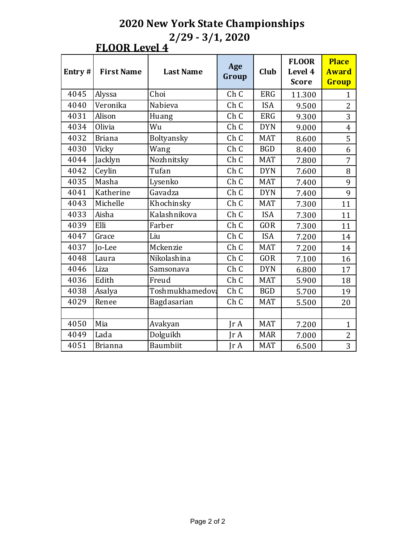#### **FLOOR Level 4**

| Entry# | <b>First Name</b> | <b>Last Name</b> | Age<br>Group                      | Club       | <b>FLOOR</b><br>Level 4<br><b>Score</b> | <b>Place</b><br><b>Award</b><br>Group |
|--------|-------------------|------------------|-----------------------------------|------------|-----------------------------------------|---------------------------------------|
| 4045   | Alyssa            | Choi             | Ch C                              | <b>ERG</b> | 11.300                                  | $\mathbf{1}$                          |
| 4040   | Veronika          | Nabieva          | Ch C                              | <b>ISA</b> | 9.500                                   | $\overline{2}$                        |
| 4031   | Alison            | Huang            | Ch C                              | <b>ERG</b> | 9.300                                   | 3                                     |
| 4034   | Olivia            | Wu               | Ch C                              | <b>DYN</b> | 9.000                                   | $\overline{4}$                        |
| 4032   | <b>Briana</b>     | Boltyansky       | Ch C                              | <b>MAT</b> | 8.600                                   | 5                                     |
| 4030   | Vicky             | Wang             | Ch C                              | <b>BGD</b> | 8.400                                   | 6                                     |
| 4044   | Jacklyn           | Nozhnitsky       | Ch C                              | <b>MAT</b> | 7.800                                   | $\overline{7}$                        |
| 4042   | Ceylin            | Tufan            | Ch <sub>C</sub>                   | <b>DYN</b> | 7.600                                   | 8                                     |
| 4035   | Masha             | Lysenko          | Ch C                              | <b>MAT</b> | 7.400                                   | 9                                     |
| 4041   | Katherine         | Gavadza          | Ch C                              | <b>DYN</b> | 7.400                                   | 9                                     |
| 4043   | Michelle          | Khochinsky       | Ch C                              | <b>MAT</b> | 7.300                                   | 11                                    |
| 4033   | Aisha             | Kalashnikova     | Ch C                              | <b>ISA</b> | 7.300                                   | 11                                    |
| 4039   | Elli              | Farber           | Ch C                              | <b>GOR</b> | 7.300                                   | 11                                    |
| 4047   | Grace             | Liu              | Ch C                              | <b>ISA</b> | 7.200                                   | 14                                    |
| 4037   | <b>Io-Lee</b>     | Mckenzie         | Ch C                              | <b>MAT</b> | 7.200                                   | 14                                    |
| 4048   | Laura             | Nikolashina      | Ch C                              | <b>GOR</b> | 7.100                                   | 16                                    |
| 4046   | Liza              | Samsonava        | Ch C                              | <b>DYN</b> | 6.800                                   | 17                                    |
| 4036   | Edith             | Freud            | Ch <sub>C</sub>                   | <b>MAT</b> | 5.900                                   | 18                                    |
| 4038   | Asalya            | Toshmukhamedov:  | Ch C                              | <b>BGD</b> | 5.700                                   | 19                                    |
| 4029   | Renee             | Bagdasarian      | Ch C                              | <b>MAT</b> | 5.500                                   | 20                                    |
|        |                   |                  |                                   |            |                                         |                                       |
| 4050   | Mia               | Avakyan          | $\mathop{\mathsf{Ir}}\nolimits A$ | <b>MAT</b> | 7.200                                   | $\mathbf{1}$                          |
| 4049   | Lada              | Dolguikh         | $\text{Tr }A$                     | <b>MAR</b> | 7.000                                   | $\overline{2}$                        |
| 4051   | <b>Brianna</b>    | <b>Baumbiit</b>  | $\text{Tr }A$                     | <b>MAT</b> | 6.500                                   | 3                                     |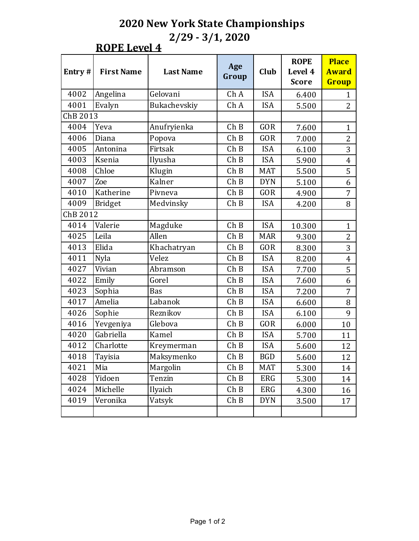**ROPE** Level 4

| Entry#   | <b>First Name</b> | <b>Last Name</b>                        | Age<br>Group | Club       | <b>ROPE</b><br>Level 4<br><b>Score</b> | <b>Place</b><br><b>Award</b><br>Group |
|----------|-------------------|-----------------------------------------|--------------|------------|----------------------------------------|---------------------------------------|
| 4002     | Angelina          | Gelovani                                | Ch A         | <b>ISA</b> | 6.400                                  | 1                                     |
| 4001     | Evalyn            | Bukachevskiy                            | Ch A         | <b>ISA</b> | 5.500                                  | $\overline{2}$                        |
| ChB 2013 |                   |                                         |              |            |                                        |                                       |
| 4004     | Yeva              | Anufryienka                             | ChB          | <b>GOR</b> | 7.600                                  | $\mathbf{1}$                          |
| 4006     | Diana             | Popova                                  | ChB          | GOR        | 7.000                                  | $\overline{2}$                        |
| 4005     | Antonina          | Firtsak                                 | Ch B         | <b>ISA</b> | 6.100                                  | 3                                     |
| 4003     | Ksenia            | Ilyusha                                 | ChB          | <b>ISA</b> | 5.900                                  | 4                                     |
| 4008     | Chloe             | Klugin                                  | ChB          | <b>MAT</b> | 5.500                                  | 5                                     |
| 4007     | Zoe               | Kalner<br>ChB<br><b>DYN</b><br>5.100    |              | 6          |                                        |                                       |
| 4010     | Katherine         | Pivneva                                 | ChB          | <b>GOR</b> | 4.900                                  | 7                                     |
| 4009     | <b>Bridget</b>    | Medvinsky<br>ChB<br><b>ISA</b><br>4.200 |              | 8          |                                        |                                       |
| ChB 2012 |                   |                                         |              |            |                                        |                                       |
| 4014     | Valerie           | ChB<br><b>ISA</b><br>Magduke<br>10.300  |              |            | $\mathbf{1}$                           |                                       |
| 4025     | Leila             | Allen<br>ChB<br><b>MAR</b>              |              | 9.300      | $\overline{2}$                         |                                       |
| 4013     | Elida             | Khachatryan                             | ChB          | GOR        | 8.300                                  | 3                                     |
| 4011     | Nyla              | Velez                                   | ChB          | <b>ISA</b> | 8.200                                  | 4                                     |
| 4027     | Vivian            | Abramson                                | Ch B         | <b>ISA</b> | 7.700                                  | 5                                     |
| 4022     | Emily             | Gorel                                   | ChB          | <b>ISA</b> | 7.600                                  | 6                                     |
| 4023     | Sophia            | Bas                                     | ChB          | <b>ISA</b> | 7.200                                  | 7                                     |
| 4017     | Amelia            | Labanok                                 | ChB          | <b>ISA</b> | 6.600                                  | 8                                     |
| 4026     | Sophie            | Reznikov                                | ChB          | <b>ISA</b> | 6.100                                  | 9                                     |
| 4016     | Yevgeniya         | Glebova                                 | ChB          | <b>GOR</b> | 6.000                                  | 10                                    |
| 4020     | Gabriella         | Kamel                                   | Ch B         | <b>ISA</b> | 5.700                                  | 11                                    |
| 4012     | Charlotte         | Kreymerman                              | ChB          | <b>ISA</b> | 5.600                                  | 12                                    |
| 4018     | Tayisia           | Maksymenko                              | ChB          | <b>BGD</b> | 5.600                                  | 12                                    |
| 4021     | Mia               | Margolin                                | ChB          | MAT        | 5.300                                  | 14                                    |
| 4028     | Yidoen            | Tenzin                                  | ChB          | ERG        | 5.300                                  | 14                                    |
| 4024     | Michelle          | Ilyaich                                 | ChB          | ERG        | 4.300                                  | 16                                    |
| 4019     | Veronika          | Vatsyk                                  | ChB          | <b>DYN</b> | 3.500                                  | 17                                    |
|          |                   |                                         |              |            |                                        |                                       |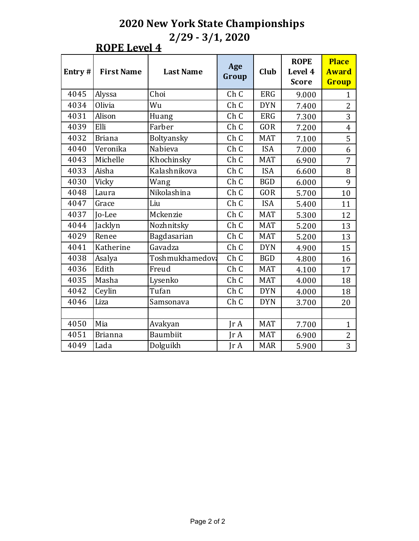#### **ROPE** Level 4

| Entry# | <b>First Name</b> | <b>Last Name</b> | Age<br>Group    | Club       | <b>ROPE</b><br>Level 4<br><b>Score</b> | <b>Place</b><br><b>Award</b><br>Group |
|--------|-------------------|------------------|-----------------|------------|----------------------------------------|---------------------------------------|
| 4045   | Alyssa            | Choi             | Ch C            | <b>ERG</b> | 9.000                                  | $\mathbf{1}$                          |
| 4034   | Olivia            | Wu               | Ch C            | <b>DYN</b> | 7.400                                  | $\overline{2}$                        |
| 4031   | Alison            | Huang            | Ch C            | <b>ERG</b> | 7.300                                  | 3                                     |
| 4039   | Elli              | Farber           | Ch <sub>C</sub> | <b>GOR</b> | 7.200                                  | $\overline{4}$                        |
| 4032   | <b>Briana</b>     | Boltyansky       | Ch C            | <b>MAT</b> | 7.100                                  | 5                                     |
| 4040   | Veronika          | Nabieva          | Ch C            | <b>ISA</b> | 7.000                                  | 6                                     |
| 4043   | Michelle          | Khochinsky       | Ch C            | <b>MAT</b> | 6.900                                  | 7                                     |
| 4033   | Aisha             | Kalashnikova     | Ch C            | <b>ISA</b> | 6.600                                  | 8                                     |
| 4030   | Vicky             | Wang             | Ch C            | <b>BGD</b> | 6.000                                  | 9                                     |
| 4048   | Laura             | Nikolashina      | Ch <sub>C</sub> | <b>GOR</b> | 5.700                                  | 10                                    |
| 4047   | Grace             | Liu              | Ch C            | <b>ISA</b> | 5.400                                  | 11                                    |
| 4037   | <b>Io-Lee</b>     | Mckenzie         | Ch C            | <b>MAT</b> | 5.300                                  | 12                                    |
| 4044   | Jacklyn           | Nozhnitsky       | Ch C            | <b>MAT</b> | 5.200                                  | 13                                    |
| 4029   | Renee             | Bagdasarian      | Ch C            | <b>MAT</b> | 5.200                                  | 13                                    |
| 4041   | Katherine         | Gavadza          | Ch C            | <b>DYN</b> | 4.900                                  | 15                                    |
| 4038   | Asalya            | Toshmukhamedov:  | Ch <sub>C</sub> | <b>BGD</b> | 4.800                                  | 16                                    |
| 4036   | Edith             | Freud            | Ch C            | <b>MAT</b> | 4.100                                  | 17                                    |
| 4035   | Masha             | Lysenko          | Ch C            | <b>MAT</b> | 4.000                                  | 18                                    |
| 4042   | Ceylin            | Tufan            | Ch C            | <b>DYN</b> | 4.000                                  | 18                                    |
| 4046   | Liza              | Samsonava        | Ch C            | <b>DYN</b> | 3.700                                  | 20                                    |
|        |                   |                  |                 |            |                                        |                                       |
| 4050   | Mia               | Avakyan          | IrA             | <b>MAT</b> | 7.700                                  | $\mathbf{1}$                          |
| 4051   | <b>Brianna</b>    | <b>Baumbiit</b>  | $\text{Tr }A$   | <b>MAT</b> | 6.900                                  | 2                                     |
| 4049   | Lada              | Dolguikh         | $\text{Tr }A$   | <b>MAR</b> | 5.900                                  | 3                                     |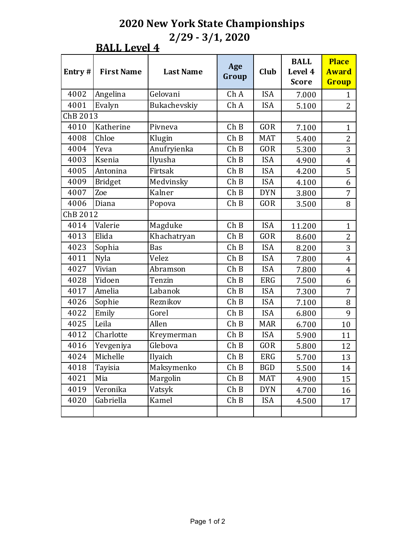#### **BALL Level 4**

| Entry#   | <b>First Name</b> | <b>Last Name</b>                     | Age<br>Group | Club       | <b>BALL</b><br>Level 4<br><b>Score</b> | <b>Place</b><br><b>Award</b><br>Group |
|----------|-------------------|--------------------------------------|--------------|------------|----------------------------------------|---------------------------------------|
| 4002     | Angelina          | Gelovani                             | Ch A         | <b>ISA</b> | 7.000                                  | $\mathbf{1}$                          |
| 4001     | Evalyn            | Bukachevskiy                         | Ch A         | <b>ISA</b> | 5.100                                  | $\overline{2}$                        |
| ChB 2013 |                   |                                      |              |            |                                        |                                       |
| 4010     | Katherine         | Pivneva                              | ChB          | <b>GOR</b> | 7.100                                  | $\mathbf{1}$                          |
| 4008     | Chloe             | Klugin                               | ChB          | <b>MAT</b> | 5.400                                  | $\overline{2}$                        |
| 4004     | Yeva              | Anufryienka                          | ChB          | GOR        | 5.300                                  | 3                                     |
| 4003     | Ksenia            | Ilyusha                              | ChB          | <b>ISA</b> | 4.900                                  | $\overline{4}$                        |
| 4005     | Antonina          | Firtsak                              | ChB          | <b>ISA</b> | 4.200                                  | 5                                     |
| 4009     | <b>Bridget</b>    | Medvinsky                            | ChB          | <b>ISA</b> | 4.100                                  | 6                                     |
| 4007     | Zoe               | Kalner                               | ChB          | <b>DYN</b> | 3.800                                  | $\overline{7}$                        |
| 4006     | Diana             | ChB<br><b>GOR</b><br>Popova<br>3.500 |              | 8          |                                        |                                       |
| ChB 2012 |                   |                                      |              |            |                                        |                                       |
| 4014     | Valerie           | ChB<br><b>ISA</b><br>Magduke         |              | 11.200     | $\mathbf{1}$                           |                                       |
| 4013     | Elida             | Khachatryan<br>ChB<br>GOR            |              | 8.600      | $\overline{2}$                         |                                       |
| 4023     | Sophia            | Bas                                  | ChB          | <b>ISA</b> | 8.200                                  | 3                                     |
| 4011     | Nyla              | Velez                                | ChB          | <b>ISA</b> | 7.800                                  | $\overline{4}$                        |
| 4027     | Vivian            | Abramson                             | ChB          | <b>ISA</b> | 7.800                                  | $\overline{4}$                        |
| 4028     | Yidoen            | Tenzin                               | ChB          | <b>ERG</b> | 7.500                                  | 6                                     |
| 4017     | Amelia            | Labanok                              | ChB          | <b>ISA</b> | 7.300                                  | $\overline{7}$                        |
| 4026     | Sophie            | Reznikov                             | ChB          | <b>ISA</b> | 7.100                                  | 8                                     |
| 4022     | Emily             | Gorel                                | ChB          | <b>ISA</b> | 6.800                                  | 9                                     |
| 4025     | Leila             | Allen                                | ChB          | <b>MAR</b> | 6.700                                  | 10                                    |
| 4012     | Charlotte         | Kreymerman                           | ChB          | <b>ISA</b> | 5.900                                  | 11                                    |
| 4016     | Yevgeniya         | Glebova                              | ChB          | GOR        | 5.800                                  | 12                                    |
| 4024     | Michelle          | Ilyaich                              | ChB          | <b>ERG</b> | 5.700                                  | 13                                    |
| 4018     | Tayisia           | Maksymenko                           | ChB          | <b>BGD</b> | 5.500                                  | 14                                    |
| 4021     | Mia               | Margolin                             | ChB          | <b>MAT</b> | 4.900                                  | 15                                    |
| 4019     | Veronika          | Vatsyk                               | ChB          | <b>DYN</b> | 4.700                                  | 16                                    |
| 4020     | Gabriella         | Kamel                                | ChB          | <b>ISA</b> | 4.500                                  | 17                                    |
|          |                   |                                      |              |            |                                        |                                       |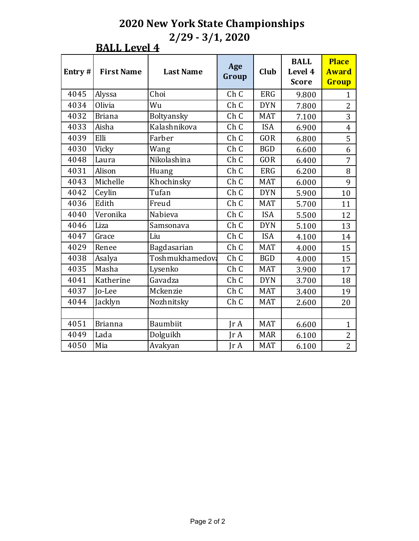**BALL Level 4** 

| Entry# | <b>First Name</b> | <b>Last Name</b> | Age<br>Group            | Club       | <b>BALL</b><br>Level 4<br><b>Score</b> | <b>Place</b><br><b>Award</b><br>Group |
|--------|-------------------|------------------|-------------------------|------------|----------------------------------------|---------------------------------------|
| 4045   | Alyssa            | Choi             | Ch C                    | <b>ERG</b> | 9.800                                  | $\mathbf{1}$                          |
| 4034   | Olivia            | Wu               | Ch C                    | <b>DYN</b> | 7.800                                  | $\overline{2}$                        |
| 4032   | <b>Briana</b>     | Boltyansky       | Ch C                    | <b>MAT</b> | 7.100                                  | 3                                     |
| 4033   | Aisha             | Kalashnikova     | Ch C                    | <b>ISA</b> | 6.900                                  | $\overline{4}$                        |
| 4039   | Elli              | Farber           | Ch <sub>C</sub>         | <b>GOR</b> | 6.800                                  | 5                                     |
| 4030   | Vicky             | Wang             | Ch C                    | <b>BGD</b> | 6.600                                  | 6                                     |
| 4048   | Laura             | Nikolashina      | Ch C                    | <b>GOR</b> | 6.400                                  | 7                                     |
| 4031   | Alison            | Huang            | Ch C                    | <b>ERG</b> | 6.200                                  | 8                                     |
| 4043   | Michelle          | Khochinsky       | Ch C                    | <b>MAT</b> | 6.000                                  | 9                                     |
| 4042   | Ceylin            | Tufan            | Ch C                    | <b>DYN</b> | 5.900                                  | 10                                    |
| 4036   | Edith             | Freud            | Ch C                    | <b>MAT</b> | 5.700                                  | 11                                    |
| 4040   | Veronika          | Nabieva          | Ch C                    | <b>ISA</b> | 5.500                                  | 12                                    |
| 4046   | Liza              | Samsonava        | Ch C                    | <b>DYN</b> | 5.100                                  | 13                                    |
| 4047   | Grace             | Liu              | Ch C                    | <b>ISA</b> | 4.100                                  | 14                                    |
| 4029   | Renee             | Bagdasarian      | Ch C                    | <b>MAT</b> | 4.000                                  | 15                                    |
| 4038   | Asalya            | Toshmukhamedov:  | Ch C                    | <b>BGD</b> | 4.000                                  | 15                                    |
| 4035   | Masha             | Lysenko          | Ch C                    | <b>MAT</b> | 3.900                                  | 17                                    |
| 4041   | Katherine         | Gavadza          | Ch C                    | <b>DYN</b> | 3.700                                  | 18                                    |
| 4037   | Jo-Lee            | Mckenzie         | Ch C                    | <b>MAT</b> | 3.400                                  | 19                                    |
| 4044   | Jacklyn           | Nozhnitsky       | Ch <sub>C</sub>         | <b>MAT</b> | 2.600                                  | 20                                    |
|        |                   |                  |                         |            |                                        |                                       |
| 4051   | <b>Brianna</b>    | <b>Baumbiit</b>  | $\text{Tr } \mathbf{A}$ | <b>MAT</b> | 6.600                                  | $\mathbf{1}$                          |
| 4049   | Lada              | Dolguikh         | $\text{Tr }A$           | <b>MAR</b> | 6.100                                  | $\overline{2}$                        |
| 4050   | Mia               | Avakyan          | JrA                     | <b>MAT</b> | 6.100                                  | $\overline{2}$                        |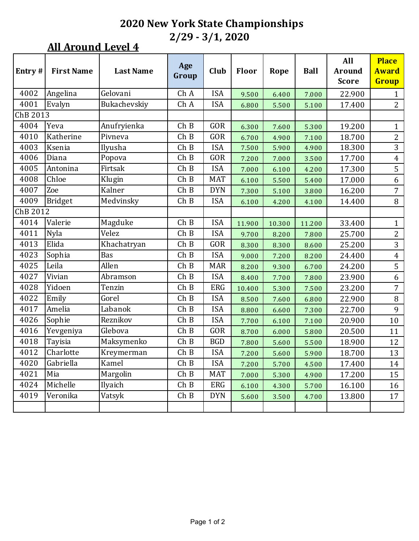| Entry#   | <b>First Name</b> | <b>Last Name</b> | Age<br>Group | Club       | Floor  | Rope   | <b>Ball</b> | All<br><b>Around</b><br><b>Score</b> | <b>Place</b><br><b>Award</b><br>Group |
|----------|-------------------|------------------|--------------|------------|--------|--------|-------------|--------------------------------------|---------------------------------------|
| 4002     | Angelina          | Gelovani         | Ch A         | <b>ISA</b> | 9.500  | 6.400  | 7.000       | 22.900                               | $\mathbf{1}$                          |
| 4001     | Evalyn            | Bukachevskiy     | Ch A         | <b>ISA</b> | 6.800  | 5.500  | 5.100       | 17.400                               | 2                                     |
| ChB 2013 |                   |                  |              |            |        |        |             |                                      |                                       |
| 4004     | Yeva              | Anufryienka      | ChB          | GOR        | 6.300  | 7.600  | 5.300       | 19.200                               | $\mathbf{1}$                          |
| 4010     | Katherine         | Pivneva          | ChB          | GOR        | 6.700  | 4.900  | 7.100       | 18.700                               | $\mathbf{2}$                          |
| 4003     | Ksenia            | Ilyusha          | ChB          | <b>ISA</b> | 7.500  | 5.900  | 4.900       | 18.300                               | 3                                     |
| 4006     | Diana             | Popova           | ChB          | GOR        | 7.200  | 7.000  | 3.500       | 17.700                               | $\pmb{4}$                             |
| 4005     | Antonina          | Firtsak          | ChB          | <b>ISA</b> | 7.000  | 6.100  | 4.200       | 17.300                               | 5                                     |
| 4008     | Chloe             | Klugin           | ChB          | <b>MAT</b> | 6.100  | 5.500  | 5.400       | 17.000                               | 6                                     |
| 4007     | Zoe               | Kalner           | ChB          | <b>DYN</b> | 7.300  | 5.100  | 3.800       | 16.200                               | $\overline{7}$                        |
| 4009     | Bridget           | Medvinsky        | ChB          | <b>ISA</b> | 6.100  | 4.200  | 4.100       | 14.400                               | 8                                     |
| ChB 2012 |                   |                  |              |            |        |        |             |                                      |                                       |
| 4014     | Valerie           | Magduke          | ChB          | <b>ISA</b> | 11.900 | 10.300 | 11.200      | 33.400                               | $\mathbf{1}$                          |
| 4011     | Nyla              | Velez            | ChB          | <b>ISA</b> | 9.700  | 8.200  | 7.800       | 25.700                               | $\mathbf{2}$                          |
| 4013     | Elida             | Khachatryan      | ChB          | GOR        | 8.300  | 8.300  | 8.600       | 25.200                               | 3                                     |
| 4023     | Sophia            | Bas              | ChB          | <b>ISA</b> | 9.000  | 7.200  | 8.200       | 24.400                               | $\overline{4}$                        |
| 4025     | Leila             | Allen            | ChB          | <b>MAR</b> | 8.200  | 9.300  | 6.700       | 24.200                               | 5                                     |
| 4027     | Vivian            | Abramson         | ChB          | <b>ISA</b> | 8.400  | 7.700  | 7.800       | 23.900                               | 6                                     |
| 4028     | Yidoen            | Tenzin           | ChB          | ERG        | 10.400 | 5.300  | 7.500       | 23.200                               | 7                                     |
| 4022     | Emily             | Gorel            | ChB          | <b>ISA</b> | 8.500  | 7.600  | 6.800       | 22.900                               | $\, 8$                                |
| 4017     | Amelia            | Labanok          | ChB          | <b>ISA</b> | 8.800  | 6.600  | 7.300       | 22.700                               | 9                                     |
| 4026     | Sophie            | Reznikov         | ChB          | <b>ISA</b> | 7.700  | 6.100  | 7.100       | 20.900                               | 10                                    |
| 4016     | Yevgeniya         | Glebova          | ChB          | GOR        | 8.700  | 6.000  | 5.800       | 20.500                               | 11                                    |
| 4018     | Tayisia           | Maksymenko       | ChB          | <b>BGD</b> | 7.800  | 5.600  | 5.500       | 18.900                               | 12                                    |
| 4012     | Charlotte         | Kreymerman       | ChB          | <b>ISA</b> | 7.200  | 5.600  | 5.900       | 18.700                               | 13                                    |
| 4020     | Gabriella         | Kamel            | ChB          | <b>ISA</b> | 7.200  | 5.700  | 4.500       | 17.400                               | 14                                    |
| 4021     | Mia               | Margolin         | ChB          | <b>MAT</b> | 7.000  | 5.300  | 4.900       | 17.200                               | 15                                    |
| 4024     | Michelle          | Ilyaich          | ChB          | ERG        | 6.100  | 4.300  | 5.700       | 16.100                               | 16                                    |
| 4019     | Veronika          | Vatsyk           | ChB          | <b>DYN</b> | 5.600  | 3.500  | 4.700       | 13.800                               | 17                                    |
|          |                   |                  |              |            |        |        |             |                                      |                                       |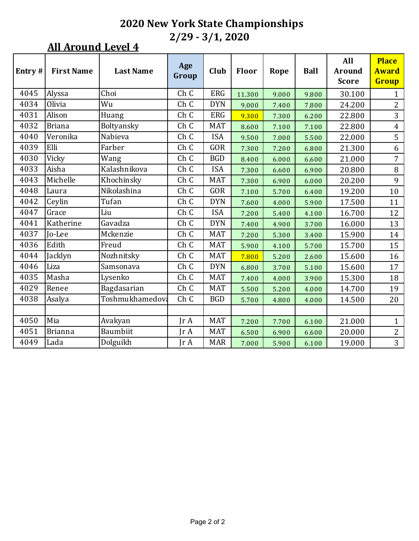| Entry# | <b>First Name</b> | <b>Last Name</b> | Age<br>Group            | Club       | Floor  | Rope  | <b>Ball</b> | All<br><b>Around</b><br><b>Score</b> | <b>Place</b><br><b>Award</b><br><b>Group</b> |
|--------|-------------------|------------------|-------------------------|------------|--------|-------|-------------|--------------------------------------|----------------------------------------------|
| 4045   | Alyssa            | Choi             | Ch C                    | <b>ERG</b> | 11.300 | 9.000 | 9.800       | 30.100                               | $\mathbf{1}$                                 |
| 4034   | Olivia            | Wu               | Ch C                    | <b>DYN</b> | 9.000  | 7.400 | 7.800       | 24.200                               | $\overline{2}$                               |
| 4031   | Alison            | Huang            | Ch C                    | <b>ERG</b> | 9.300  | 7.300 | 6.200       | 22.800                               | 3                                            |
| 4032   | <b>Briana</b>     | Boltyansky       | Ch C                    | <b>MAT</b> | 8.600  | 7.100 | 7.100       | 22.800                               | $\overline{4}$                               |
| 4040   | Veronika          | Nabieva          | Ch C                    | <b>ISA</b> | 9.500  | 7.000 | 5.500       | 22.000                               | 5                                            |
| 4039   | Elli              | Farber           | Ch C                    | GOR        | 7.300  | 7.200 | 6.800       | 21.300                               | 6                                            |
| 4030   | Vicky             | Wang             | Ch C                    | <b>BGD</b> | 8.400  | 6.000 | 6.600       | 21.000                               | 7                                            |
| 4033   | Aisha             | Kalashnikova     | Ch C                    | <b>ISA</b> | 7.300  | 6.600 | 6.900       | 20.800                               | $\, 8$                                       |
| 4043   | Michelle          | Khochinsky       | Ch C                    | <b>MAT</b> | 7.300  | 6.900 | 6.000       | 20.200                               | 9                                            |
| 4048   | Laura             | Nikolashina      | Ch C                    | <b>GOR</b> | 7.100  | 5.700 | 6.400       | 19.200                               | 10                                           |
| 4042   | Ceylin            | Tufan            | Ch C                    | <b>DYN</b> | 7.600  | 4.000 | 5.900       | 17.500                               | 11                                           |
| 4047   | Grace             | Liu              | Ch <sub>C</sub>         | <b>ISA</b> | 7.200  | 5.400 | 4.100       | 16.700                               | 12                                           |
| 4041   | Katherine         | Gavadza          | Ch C                    | <b>DYN</b> | 7.400  | 4.900 | 3.700       | 16.000                               | 13                                           |
| 4037   | Jo-Lee            | Mckenzie         | Ch C                    | <b>MAT</b> | 7.200  | 5.300 | 3.400       | 15.900                               | 14                                           |
| 4036   | Edith             | Freud            | Ch C                    | <b>MAT</b> | 5.900  | 4.100 | 5.700       | 15.700                               | 15                                           |
| 4044   | Jacklyn           | Nozhnitsky       | Ch <sub>C</sub>         | <b>MAT</b> | 7.800  | 5.200 | 2.600       | 15.600                               | 16                                           |
| 4046   | Liza              | Samsonava        | Ch C                    | <b>DYN</b> | 6.800  | 3.700 | 5.100       | 15.600                               | 17                                           |
| 4035   | Masha             | Lysenko          | Ch C                    | <b>MAT</b> | 7.400  | 4.000 | 3.900       | 15.300                               | 18                                           |
| 4029   | Renee             | Bagdasarian      | Ch C                    | <b>MAT</b> | 5.500  | 5.200 | 4.000       | 14.700                               | 19                                           |
| 4038   | Asalya            | Toshmukhamedova  | Ch C                    | <b>BGD</b> | 5.700  | 4.800 | 4.000       | 14.500                               | 20                                           |
|        |                   |                  |                         |            |        |       |             |                                      |                                              |
| 4050   | Mia               | Avakyan          | $\text{Tr } \mathbf{A}$ | <b>MAT</b> | 7.200  | 7.700 | 6.100       | 21.000                               | $\mathbf{1}$                                 |
| 4051   | <b>Brianna</b>    | Baumbiit         | JrA                     | <b>MAT</b> | 6.500  | 6.900 | 6.600       | 20.000                               | $\overline{2}$                               |
| 4049   | Lada              | Dolguikh         | $\text{Tr } \mathbf{A}$ | <b>MAR</b> | 7.000  | 5.900 | 6.100       | 19.000                               | 3                                            |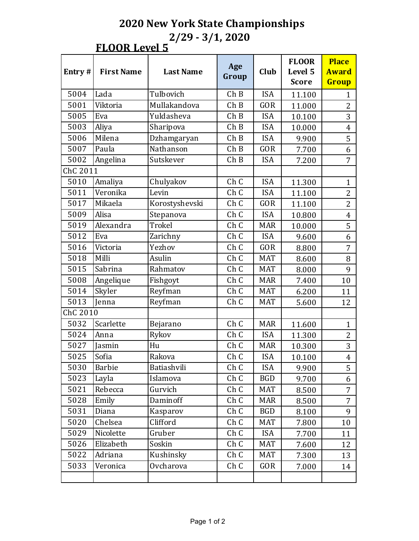#### **FLOOR Level 5**

|          |                   |                  | Age   |            | <b>FLOOR</b>            | <b>Place</b>          |  |
|----------|-------------------|------------------|-------|------------|-------------------------|-----------------------|--|
| Entry#   | <b>First Name</b> | <b>Last Name</b> | Group | Club       | Level 5<br><b>Score</b> | <b>Award</b><br>Group |  |
| 5004     | Lada              | Tulbovich        | ChB   | <b>ISA</b> | 11.100                  | $\mathbf{1}$          |  |
| 5001     | Viktoria          | Mullakandova     | ChB   | GOR        | 11.000                  | $\overline{2}$        |  |
| 5005     | Eva               | Yuldasheva       | ChB   | <b>ISA</b> | 10.100                  | 3                     |  |
| 5003     | Aliya             | Sharipova        | ChB   | <b>ISA</b> | 10.000                  | $\overline{4}$        |  |
| 5006     | Milena            | Dzhamgaryan      | ChB   | <b>ISA</b> | 9.900                   | 5                     |  |
| 5007     | Paula             | Nathanson        | ChB   | <b>GOR</b> | 7.700                   | 6                     |  |
| 5002     | Angelina          | Sutskever        | ChB   | <b>ISA</b> | 7.200                   | $\overline{7}$        |  |
| ChC 2011 |                   |                  |       |            |                         |                       |  |
| 5010     | Amaliya           | Chulyakov        | Ch C  | <b>ISA</b> | 11.300                  | $\mathbf{1}$          |  |
| 5011     | Veronika          | Levin            | Ch C  | <b>ISA</b> | 11.100                  | $\overline{2}$        |  |
| 5017     | Mikaela           | Korostyshevski   | Ch C  | GOR        | 11.100                  | $\overline{2}$        |  |
| 5009     | Alisa             | Stepanova        | Ch C  | <b>ISA</b> | 10.800                  | $\overline{4}$        |  |
| 5019     | Alexandra         | Trokel           | Ch C  | <b>MAR</b> | 10.000                  | 5                     |  |
| 5012     | Eva               | Zarichny         | Ch C  | <b>ISA</b> | 9.600                   | 6                     |  |
| 5016     | Victoria          | Yezhov           | Ch C  | <b>GOR</b> | 8.800                   | 7                     |  |
| 5018     | Milli             | Asulin           | Ch C  | <b>MAT</b> | 8.600                   | 8                     |  |
| 5015     | Sabrina           | Rahmatov         | Ch C  | <b>MAT</b> | 8.000                   | 9                     |  |
| 5008     | Angelique         | Fishgoyt         | Ch C  | <b>MAR</b> | 7.400                   | 10                    |  |
| 5014     | Skyler            | Reyfman          | Ch C  | <b>MAT</b> | 6.200                   | 11                    |  |
| 5013     | Jenna             | Reyfman          | Ch C  | <b>MAT</b> | 5.600                   | 12                    |  |
| ChC 2010 |                   |                  |       |            |                         |                       |  |
| 5032     | Scarlette         | Bejarano         | Ch C  | <b>MAR</b> | 11.600                  | $\mathbf{1}$          |  |
| 5024     | Anna              | Rykov            | Ch C  | <b>ISA</b> | 11.300                  | $\overline{2}$        |  |
| 5027     | Jasmin            | Hu               | Ch C  | <b>MAR</b> | 10.300                  | 3                     |  |
| 5025     | Sofia             | Rakova           | Ch C  | <b>ISA</b> | 10.100                  | $\overline{4}$        |  |
| 5030     | <b>Barbie</b>     | Batiashvili      | Ch C  | <b>ISA</b> | 9.900                   | 5                     |  |
| 5023     | Layla             | Islamova         | Ch C  | <b>BGD</b> | 9.700                   | 6                     |  |
| 5021     | Rebecca           | Gurvich          | Ch C  | <b>MAT</b> | 8.500                   | $\overline{7}$        |  |
| 5028     | Emily             | Daminoff         | Ch C  | <b>MAR</b> | 8.500                   | 7                     |  |
| 5031     | Diana             | Kasparov         | Ch C  | <b>BGD</b> | 8.100                   | 9                     |  |
| 5020     | Chelsea           | Clifford         | Ch C  | <b>MAT</b> | 7.800                   | 10                    |  |
| 5029     | Nicolette         | Gruber           | Ch C  | <b>ISA</b> | 7.700                   | 11                    |  |
| 5026     | Elizabeth         | Soskin           | Ch C  | MAT        | 7.600                   | 12                    |  |
| 5022     | Adriana           | Kushinsky        | Ch C  | <b>MAT</b> | 7.300                   | 13                    |  |
| 5033     | Veronica          | Ovcharova        | Ch C  | GOR        | 7.000                   | 14                    |  |
|          |                   |                  |       |            |                         |                       |  |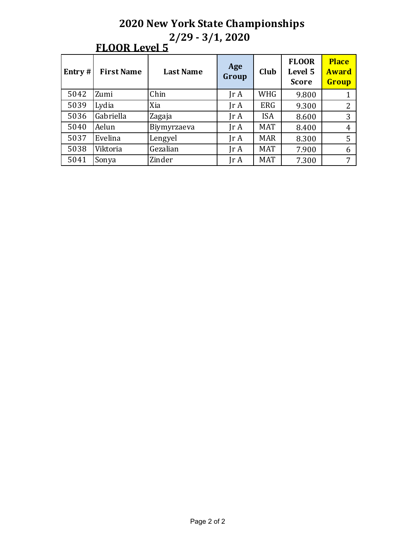|  | OR 1 | l.et<br>ρı |
|--|------|------------|
|--|------|------------|

| Entry $#$ | <b>First Name</b> | <b>Last Name</b> | Age<br>Group                 | Club       | <b>FLOOR</b><br>Level 5<br><b>Score</b> | <b>Place</b><br><b>Award</b><br>Group |
|-----------|-------------------|------------------|------------------------------|------------|-----------------------------------------|---------------------------------------|
| 5042      | Zumi              | Chin             | IrA                          | <b>WHG</b> | 9.800                                   |                                       |
| 5039      | Lydia             | Xia              | $\text{Tr } \mathbf{A}$      | <b>ERG</b> | 9.300                                   | $\overline{2}$                        |
| 5036      | Gabriella         | Zagaja           | $\mathop{\rm Ir}\nolimits$ A | <b>ISA</b> | 8.600                                   | 3                                     |
| 5040      | Aelun             | Biymyrzaeva      | $\mathop{\rm Ir}\nolimits$ A | <b>MAT</b> | 8.400                                   | $\overline{4}$                        |
| 5037      | Evelina           | Lengyel          | $\text{Tr }A$                | <b>MAR</b> | 8.300                                   | 5                                     |
| 5038      | Viktoria          | Gezalian         | $\text{Tr } \mathbf{A}$      | <b>MAT</b> | 7.900                                   | 6                                     |
| 5041      | Sonya             | Zinder           | Jr A                         | <b>MAT</b> | 7.300                                   | 7                                     |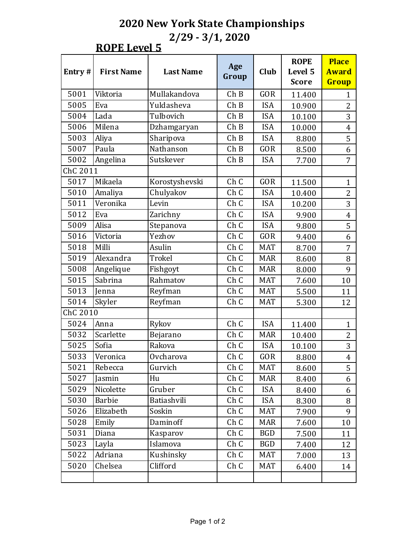**ROPE** Level 5

|          |                   |                  |              |            | <b>ROPE</b>  | <b>Place</b>   |
|----------|-------------------|------------------|--------------|------------|--------------|----------------|
| Entry#   | <b>First Name</b> | <b>Last Name</b> | Age<br>Group | Club       | Level 5      | <b>Award</b>   |
|          |                   |                  |              |            | <b>Score</b> | Group          |
| 5001     | Viktoria          | Mullakandova     | ChB          | <b>GOR</b> | 11.400       | 1              |
| 5005     | Eva               | Yuldasheva       | Ch B         | <b>ISA</b> | 10.900       | 2              |
| 5004     | Lada              | Tulbovich        | ChB          | <b>ISA</b> | 10.100       | 3              |
| 5006     | Milena            | Dzhamgaryan      | ChB          | <b>ISA</b> | 10.000       | $\overline{4}$ |
| 5003     | Aliya             | Sharipova        | ChB          | <b>ISA</b> | 8.800        | 5              |
| 5007     | Paula             | Nathanson        | ChB          | <b>GOR</b> | 8.500        | 6              |
| 5002     | Angelina          | Sutskever        | ChB          | <b>ISA</b> | 7.700        | 7              |
| ChC 2011 |                   |                  |              |            |              |                |
| 5017     | Mikaela           | Korostyshevski   | Ch C         | <b>GOR</b> | 11.500       | $\mathbf{1}$   |
| 5010     | Amaliya           | Chulyakov        | Ch C         | <b>ISA</b> | 10.400       | $\overline{2}$ |
| 5011     | Veronika          | Levin            | Ch C         | <b>ISA</b> | 10.200       | 3              |
| 5012     | Eva               | Zarichny         | Ch C         | <b>ISA</b> | 9.900        | 4              |
| 5009     | Alisa             | Stepanova        | Ch C         | <b>ISA</b> | 9.800        | 5              |
| 5016     | Victoria          | Yezhov           | Ch C         | <b>GOR</b> | 9.400        | 6              |
| 5018     | Milli             | Asulin           | Ch C         | <b>MAT</b> | 8.700        | 7              |
| 5019     | Alexandra         | Trokel           | Ch C         | <b>MAR</b> | 8.600        | 8              |
| 5008     | Angelique         | Fishgoyt         | Ch C         | <b>MAR</b> | 8.000        | 9              |
| 5015     | Sabrina           | Rahmatov         | Ch C         | <b>MAT</b> | 7.600        | 10             |
| 5013     | Jenna             | Reyfman          | Ch C         | <b>MAT</b> | 5.500        | 11             |
| 5014     | Skyler            | Reyfman          | Ch C         | <b>MAT</b> | 5.300        | 12             |
| ChC 2010 |                   |                  |              |            |              |                |
| 5024     | Anna              | Rykov            | Ch C         | <b>ISA</b> | 11.400       | $\mathbf{1}$   |
| 5032     | Scarlette         | Bejarano         | Ch C         | <b>MAR</b> | 10.400       | $\overline{2}$ |
| 5025     | Sofia             | Rakova           | Ch C         | <b>ISA</b> | 10.100       | 3              |
| 5033     | Veronica          | Ovcharova        | Ch C         | GOR        | 8.800        | $\overline{4}$ |
| 5021     | Rebecca           | Gurvich          | Ch C         | MAT        | 8.600        | 5              |
| 5027     | Jasmin            | Hu               | Ch C         | <b>MAR</b> | 8.400        | 6              |
| 5029     | Nicolette         | Gruber           | Ch C         | <b>ISA</b> | 8.400        | 6              |
| 5030     | Barbie            | Batiashvili      | Ch C         | <b>ISA</b> | 8.300        | 8              |
| 5026     | Elizabeth         | Soskin           | Ch C         | <b>MAT</b> | 7.900        | 9              |
| 5028     | Emily             | Daminoff         | Ch C         | MAR        | 7.600        | 10             |
| 5031     | Diana             | Kasparov         | Ch C         | <b>BGD</b> | 7.500        | 11             |
| 5023     | Layla             | Islamova         | Ch C         | <b>BGD</b> | 7.400        | 12             |
| 5022     | Adriana           | Kushinsky        | Ch C         | MAT        | 7.000        | 13             |
| 5020     | Chelsea           | Clifford         | Ch C         | MAT        | 6.400        | 14             |
|          |                   |                  |              |            |              |                |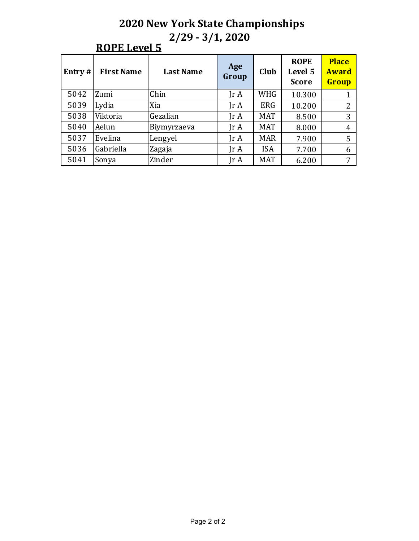### **ROPE** Level 5

| Entry $#$ | <b>First Name</b> | <b>Last Name</b> | Age<br>Group                 | Club       | <b>ROPE</b><br>Level 5<br><b>Score</b> | <b>Place</b><br><b>Award</b><br>Group |
|-----------|-------------------|------------------|------------------------------|------------|----------------------------------------|---------------------------------------|
| 5042      | Zumi              | Chin             | $\text{Tr } \mathbf{A}$      | <b>WHG</b> | 10.300                                 |                                       |
| 5039      | Lydia             | Xia              | $\text{Tr } \mathbf{A}$      | <b>ERG</b> | 10.200                                 | 2                                     |
| 5038      | Viktoria          | Gezalian         | $\text{Tr } \mathbf{A}$      | <b>MAT</b> | 8.500                                  | 3                                     |
| 5040      | Aelun             | Biymyrzaeva      | $\text{Tr } \mathbf{A}$      | <b>MAT</b> | 8.000                                  | 4                                     |
| 5037      | Evelina           | Lengyel          | $\mathop{\rm Ir}\nolimits$ A | <b>MAR</b> | 7.900                                  | 5                                     |
| 5036      | Gabriella         | Zagaja           | $\mathop{\rm Ir}\nolimits$ A | <b>ISA</b> | 7.700                                  | 6                                     |
| 5041      | Sonya             | Zinder           | Jr A                         | <b>MAT</b> | 6.200                                  | 7                                     |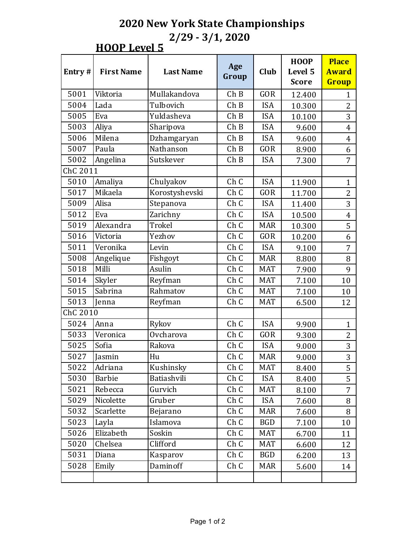## **HOOP** Level 5

|          |                   |                  | Age   |            | <b>HOOP</b>  | <b>Place</b>   |
|----------|-------------------|------------------|-------|------------|--------------|----------------|
| Entry#   | <b>First Name</b> | <b>Last Name</b> | Group | Club       | Level 5      | <b>Award</b>   |
|          |                   |                  |       |            | <b>Score</b> | Group          |
| 5001     | Viktoria          | Mullakandova     | ChB   | <b>GOR</b> | 12.400       | 1              |
| 5004     | Lada              | Tulbovich        | ChB   | <b>ISA</b> | 10.300       | $\overline{2}$ |
| 5005     | Eva               | Yuldasheva       | ChB   | <b>ISA</b> | 10.100       | 3              |
| 5003     | Aliya             | Sharipova        | ChB   | <b>ISA</b> | 9.600        | $\overline{4}$ |
| 5006     | Milena            | Dzhamgaryan      | ChB   | <b>ISA</b> | 9.600        | $\overline{4}$ |
| 5007     | Paula             | Nathanson        | ChB   | <b>GOR</b> | 8.900        | 6              |
| 5002     | Angelina          | Sutskever        | ChB   | <b>ISA</b> | 7.300        | 7              |
| ChC 2011 |                   |                  |       |            |              |                |
| 5010     | Amaliya           | Chulyakov        | Ch C  | <b>ISA</b> | 11.900       | $\mathbf{1}$   |
| 5017     | Mikaela           | Korostyshevski   | Ch C  | <b>GOR</b> | 11.700       | $\overline{2}$ |
| 5009     | Alisa             | Stepanova        | Ch C  | <b>ISA</b> | 11.400       | 3              |
| 5012     | Eva               | Zarichny         | Ch C  | <b>ISA</b> | 10.500       | 4              |
| 5019     | Alexandra         | Trokel           | Ch C  | <b>MAR</b> | 10.300       | 5              |
| 5016     | Victoria          | Yezhov           | Ch C  | <b>GOR</b> | 10.200       | 6              |
| 5011     | Veronika          | Levin            | Ch C  | <b>ISA</b> | 9.100        | 7              |
| 5008     | Angelique         | Fishgoyt         | Ch C  | <b>MAR</b> | 8.800        | 8              |
| 5018     | Milli             | Asulin           | Ch C  | <b>MAT</b> | 7.900        | 9              |
| 5014     | Skyler            | Reyfman          | Ch C  | <b>MAT</b> | 7.100        | 10             |
| 5015     | Sabrina           | Rahmatov         | Ch C  | <b>MAT</b> | 7.100        | 10             |
| 5013     | Jenna             | Reyfman          | Ch C  | <b>MAT</b> | 6.500        | 12             |
| ChC 2010 |                   |                  |       |            |              |                |
| 5024     | Anna              | Rykov            | Ch C  | <b>ISA</b> | 9.900        | $\mathbf{1}$   |
| 5033     | Veronica          | Ovcharova        | Ch C  | <b>GOR</b> | 9.300        | $\overline{2}$ |
| 5025     | Sofia             | Rakova           | Ch C  | <b>ISA</b> | 9.000        | 3              |
| 5027     | Jasmin            | Hu               | Ch C  | <b>MAR</b> | 9.000        | 3              |
| 5022     | Adriana           | Kushinsky        | Ch C  | MAT        | 8.400        | 5              |
| 5030     | Barbie            | Batiashvili      | Ch C  | <b>ISA</b> | 8.400        | 5              |
| 5021     | Rebecca           | Gurvich          | Ch C  | MAT        | 8.100        | $\overline{7}$ |
| 5029     | Nicolette         | Gruber           | Ch C  | <b>ISA</b> | 7.600        | 8              |
| 5032     | Scarlette         | Bejarano         | Ch C  | <b>MAR</b> | 7.600        | 8              |
| 5023     | Layla             | Islamova         | Ch C  | <b>BGD</b> | 7.100        | 10             |
| 5026     | Elizabeth         | Soskin           | Ch C  | MAT        | 6.700        | 11             |
| 5020     | Chelsea           | Clifford         | Ch C  | <b>MAT</b> | 6.600        | 12             |
| 5031     | Diana             | Kasparov         | Ch C  | <b>BGD</b> | 6.200        | 13             |
| 5028     | Emily             | Daminoff         | Ch C  | <b>MAR</b> | 5.600        | 14             |
|          |                   |                  |       |            |              |                |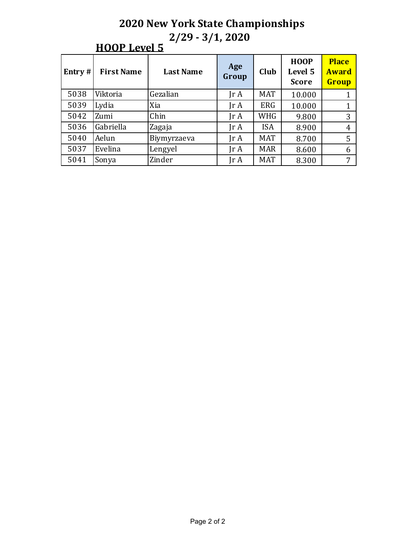| Entry $#$ | <b>First Name</b> | <b>Last Name</b> | Age<br>Group                 | Club       | <b>HOOP</b><br>Level 5<br><b>Score</b> | <b>Place</b><br><b>Award</b><br>Group |
|-----------|-------------------|------------------|------------------------------|------------|----------------------------------------|---------------------------------------|
| 5038      | Viktoria          | Gezalian         | $\text{Tr } \mathbf{A}$      | <b>MAT</b> | 10.000                                 |                                       |
| 5039      | Lydia             | Xia              | $\text{Tr } \mathbf{A}$      | <b>ERG</b> | 10.000                                 |                                       |
| 5042      | Zumi              | Chin             | $\text{Tr } \mathbf{A}$      | <b>WHG</b> | 9.800                                  | 3                                     |
| 5036      | Gabriella         | Zagaja           | $\text{Tr } \mathbf{A}$      | <b>ISA</b> | 8.900                                  | 4                                     |
| 5040      | Aelun             | Biymyrzaeva      | Jr A                         | <b>MAT</b> | 8.700                                  | 5                                     |
| 5037      | Evelina           | Lengyel          | $\mathop{\rm Ir}\nolimits$ A | <b>MAR</b> | 8.600                                  | 6                                     |
| 5041      | Sonya             | Zinder           | Jr A                         | <b>MAT</b> | 8.300                                  | 7                                     |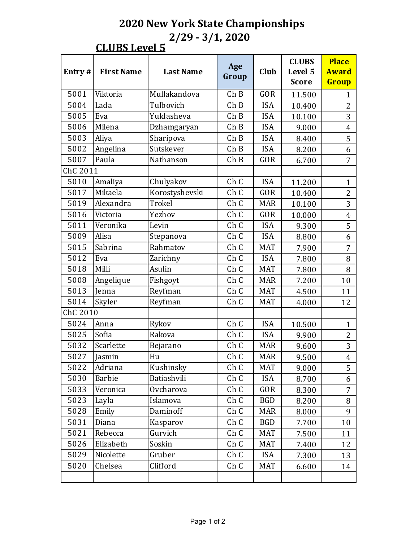# **CLUBS Level 5**

|          |                   |                  | Age             |            | <b>CLUBS</b>            | <b>Place</b>          |  |
|----------|-------------------|------------------|-----------------|------------|-------------------------|-----------------------|--|
| Entry#   | <b>First Name</b> | <b>Last Name</b> | Group           | Club       | Level 5<br><b>Score</b> | <b>Award</b><br>Group |  |
| 5001     | Viktoria          | Mullakandova     | ChB             | <b>GOR</b> | 11.500                  | $\mathbf{1}$          |  |
| 5004     | Lada              | Tulbovich        | ChB             | <b>ISA</b> | 10.400                  | $\overline{2}$        |  |
| 5005     | Eva               | Yuldasheva       | ChB             | <b>ISA</b> | 10.100                  | 3                     |  |
| 5006     | Milena            | Dzhamgaryan      | ChB             | <b>ISA</b> | 9.000                   | $\overline{4}$        |  |
| 5003     | Aliya             | Sharipova        | ChB             | <b>ISA</b> | 8.400                   | 5                     |  |
| 5002     | Angelina          | Sutskever        | ChB             | <b>ISA</b> | 8.200                   | 6                     |  |
| 5007     | Paula             | Nathanson        | ChB             | <b>GOR</b> | 6.700                   | 7                     |  |
| ChC 2011 |                   |                  |                 |            |                         |                       |  |
| 5010     | Amaliya           | Chulyakov        | Ch C            | <b>ISA</b> | 11.200                  | $\mathbf{1}$          |  |
| 5017     | Mikaela           | Korostyshevski   | Ch C            | <b>GOR</b> | 10.400                  | $\overline{2}$        |  |
| 5019     | Alexandra         | Trokel           | Ch C            | <b>MAR</b> | 10.100                  | 3                     |  |
| 5016     | Victoria          | Yezhov           | Ch <sub>C</sub> | <b>GOR</b> | 10.000                  | $\overline{4}$        |  |
| 5011     | Veronika          | Levin            | Ch C            | <b>ISA</b> | 9.300                   | 5                     |  |
| 5009     | Alisa             | Stepanova        | Ch C            | <b>ISA</b> | 8.800                   | 6                     |  |
| 5015     | Sabrina           | Rahmatov         | Ch <sub>C</sub> | <b>MAT</b> | 7.900                   | 7                     |  |
| 5012     | Eva               | Zarichny         | Ch C            | <b>ISA</b> | 7.800                   | 8                     |  |
| 5018     | Milli             | Asulin           | Ch C            | <b>MAT</b> | 7.800                   | 8                     |  |
| 5008     | Angelique         | Fishgoyt         | Ch C            | <b>MAR</b> | 7.200                   | 10                    |  |
| 5013     | Jenna             | Reyfman          | Ch C            | <b>MAT</b> | 4.500                   | 11                    |  |
| 5014     | Skyler            | Reyfman          | Ch C            | <b>MAT</b> | 4.000                   | 12                    |  |
| ChC 2010 |                   |                  |                 |            |                         |                       |  |
| 5024     | Anna              | Rykov            | Ch C            | <b>ISA</b> | 10.500                  | $\mathbf{1}$          |  |
| 5025     | Sofia             | Rakova           | Ch C            | <b>ISA</b> | 9.900                   | $\overline{2}$        |  |
| 5032     | Scarlette         | Bejarano         | Ch C            | <b>MAR</b> | 9.600                   | 3                     |  |
| 5027     | Jasmin            | Hu               | Ch C            | <b>MAR</b> | 9.500                   | $\overline{4}$        |  |
| 5022     | Adriana           | Kushinsky        | Ch C            | MAT        | 9.000                   | 5                     |  |
| 5030     | Barbie            | Batiashvili      | Ch C            | <b>ISA</b> | 8.700                   | 6                     |  |
| 5033     | Veronica          | Ovcharova        | Ch C            | GOR        | 8.300                   | 7                     |  |
| 5023     | Layla             | Islamova         | Ch C            | BGD        | 8.200                   | 8                     |  |
| 5028     | Emily             | Daminoff         | Ch C            | <b>MAR</b> | 8.000                   | 9                     |  |
| 5031     | Diana             | Kasparov         | Ch C            | <b>BGD</b> | 7.700                   | 10                    |  |
| 5021     | Rebecca           | Gurvich          | Ch C            | MAT        | 7.500                   | 11                    |  |
| 5026     | Elizabeth         | Soskin           | Ch C            | <b>MAT</b> | 7.400                   | 12                    |  |
| 5029     | Nicolette         | Gruber           | Ch C            | <b>ISA</b> | 7.300                   | 13                    |  |
| 5020     | Chelsea           | Clifford         | Ch C            | MAT        | 6.600                   | 14                    |  |
|          |                   |                  |                 |            |                         |                       |  |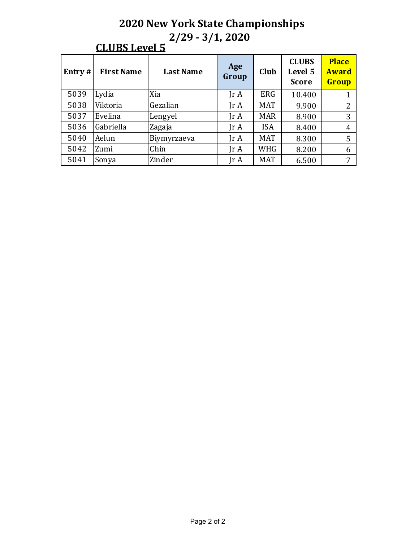| Entry $#$ | <b>First Name</b> | <b>Last Name</b> | Age<br>Group                 | Club       | <b>CLUBS</b><br>Level 5<br><b>Score</b> | <b>Place</b><br><b>Award</b><br>Group |
|-----------|-------------------|------------------|------------------------------|------------|-----------------------------------------|---------------------------------------|
| 5039      | Lydia             | Xia              | $\text{Tr } \mathbf{A}$      | <b>ERG</b> | 10.400                                  |                                       |
| 5038      | Viktoria          | Gezalian         | $\text{Tr } \mathbf{A}$      | <b>MAT</b> | 9.900                                   | 2                                     |
| 5037      | Evelina           | Lengyel          | $\text{Tr } \mathbf{A}$      | <b>MAR</b> | 8.900                                   | 3                                     |
| 5036      | Gabriella         | Zagaja           | $\mathop{\rm Ir}\nolimits$ A | <b>ISA</b> | 8.400                                   | $\overline{4}$                        |
| 5040      | Aelun             | Biymyrzaeva      | $\text{Tr } \mathbf{A}$      | <b>MAT</b> | 8.300                                   | 5                                     |
| 5042      | Zumi              | Chin             | $\text{Tr } \mathbf{A}$      | WHG        | 8.200                                   | 6                                     |
| 5041      | Sonya             | Zinder           | Jr A                         | <b>MAT</b> | 6.500                                   | 7                                     |

#### **CLUBS Level 5**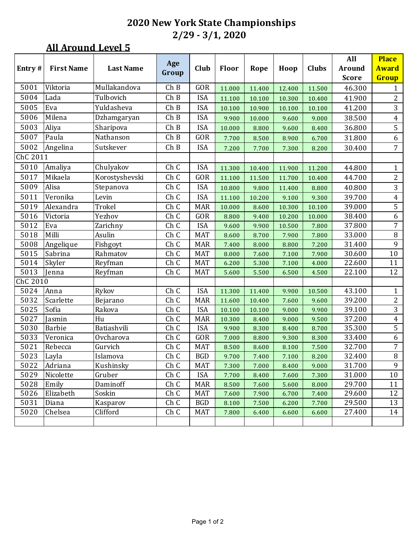|          |                   |                      | Age   |            |        |        |        |              | All           | <b>Place</b>            |
|----------|-------------------|----------------------|-------|------------|--------|--------|--------|--------------|---------------|-------------------------|
| Entry#   | <b>First Name</b> | <b>Last Name</b>     | Group | Club       | Floor  | Rope   | Hoop   | <b>Clubs</b> | <b>Around</b> | <b>Award</b>            |
|          |                   |                      |       |            |        |        |        |              | <b>Score</b>  | Group                   |
| 5001     | Viktoria          | Mullakandova         | ChB   | GOR        | 11.000 | 11.400 | 12.400 | 11.500       | 46.300        | $\mathbf{1}$            |
| 5004     | Lada              | Tulbovich            | ChB   | <b>ISA</b> | 11.100 | 10.100 | 10.300 | 10.400       | 41.900        | 2                       |
| 5005     | Eva               | Yuldasheva           | ChB   | <b>ISA</b> | 10.100 | 10.900 | 10.100 | 10.100       | 41.200        | 3                       |
| 5006     | Milena            | Dzhamgaryan          | ChB   | <b>ISA</b> | 9.900  | 10.000 | 9.600  | 9.000        | 38.500        | $\overline{4}$          |
| 5003     | Aliya             | Sharipova            | ChB   | <b>ISA</b> | 10.000 | 8.800  | 9.600  | 8.400        | 36.800        | 5                       |
| 5007     | Paula             | Nathanson            | Ch B  | GOR        | 7.700  | 8.500  | 8.900  | 6.700        | 31.800        | 6                       |
| 5002     | Angelina          | Sutskever            | ChB   | <b>ISA</b> | 7.200  | 7.700  | 7.300  | 8.200        | 30.400        | 7                       |
| ChC 2011 |                   |                      |       |            |        |        |        |              |               |                         |
| 5010     | Amaliya           | Chulyakov            | Ch C  | <b>ISA</b> | 11.300 | 10.400 | 11.900 | 11.200       | 44.800        | 1                       |
| 5017     | Mikaela           | Korostyshevski       | Ch C  | GOR        | 11.100 | 11.500 | 11.700 | 10.400       | 44.700        | $\overline{c}$          |
| 5009     | Alisa             | Stepanova            | Ch C  | <b>ISA</b> | 10.800 | 9.800  | 11.400 | 8.800        | 40.800        | 3                       |
| 5011     | Veronika          | Levin                | Ch C  | <b>ISA</b> | 11.100 | 10.200 | 9.100  | 9.300        | 39.700        | $\overline{\mathbf{4}}$ |
| 5019     | Alexandra         | Trokel               | Ch C  | <b>MAR</b> | 10.000 | 8.600  | 10.300 | 10.100       | 39.000        | 5                       |
| 5016     | Victoria          | Yezhov               | Ch C  | GOR        | 8.800  | 9.400  | 10.200 | 10.000       | 38.400        | 6                       |
| 5012     | Eva               | Zarichny             | Ch C  | <b>ISA</b> | 9.600  | 9.900  | 10.500 | 7.800        | 37.800        | 7                       |
| 5018     | Milli             | Asulin               | Ch C  | <b>MAT</b> | 8.600  | 8.700  | 7.900  | 7.800        | 33.000        | $\, 8$                  |
| 5008     | Angelique         | Fishgoyt             | Ch C  | <b>MAR</b> | 7.400  | 8.000  | 8.800  | 7.200        | 31.400        | 9                       |
| 5015     | Sabrina           | Rahmatov             | Ch C  | <b>MAT</b> | 8.000  | 7.600  | 7.100  | 7.900        | 30.600        | 10                      |
| 5014     | Skyler            | Reyfman              | Ch C  | <b>MAT</b> | 6.200  | 5.300  | 7.100  | 4.000        | 22.600        | 11                      |
| 5013     | Jenna             | Reyfman              | Ch C  | <b>MAT</b> | 5.600  | 5.500  | 6.500  | 4.500        | 22.100        | 12                      |
| ChC 2010 |                   |                      |       |            |        |        |        |              |               |                         |
| 5024     | Anna              | Rykov                | Ch C  | <b>ISA</b> | 11.300 | 11.400 | 9.900  | 10.500       | 43.100        | $\mathbf{1}$            |
| 5032     | Scarlette         | Bejarano             | Ch C  | <b>MAR</b> | 11.600 | 10.400 | 7.600  | 9.600        | 39.200        | $\overline{c}$          |
| 5025     | Sofia             | Rakova               | Ch C  | <b>ISA</b> | 10.100 | 10.100 | 9.000  | 9.900        | 39.100        | 3                       |
| 5027     | Jasmin            | Hu                   | Ch C  | <b>MAR</b> | 10.300 | 8.400  | 9.000  | 9.500        | 37.200        | 4                       |
| 5030     | Barbie            | Batiashvili          | Ch C  | <b>ISA</b> | 9.900  | 8.300  | 8.400  | 8.700        | 35.300        | 5                       |
| 5033     | Veronica          | Ovcharova            | Ch C  | GOR        | 7.000  | 8.800  | 9.300  | 8.300        | 33.400        | 6                       |
| 5021     | Rebecca           | Gurvich              | Ch C  | <b>MAT</b> | 8.500  | 8.600  | 8.100  | 7.500        | 32.700        | $\overline{7}$          |
| 5023     | Layla             | Islamova             | Ch C  | <b>BGD</b> | 9.700  | 7.400  | 7.100  | 8.200        | 32.400        | $\, 8$                  |
| 5022     | Adriana           | Kushinsky            | Ch C  | <b>MAT</b> | 7.300  | 7.000  | 8.400  | 9.000        | 31.700        | 9                       |
| 5029     | Nicolette         | Gruber               | Ch C  | <b>ISA</b> | 7.700  | 8.400  | 7.600  | 7.300        | 31.000        | 10                      |
| 5028     | Emily             | Daminoff             | Ch C  | <b>MAR</b> | 8.500  | 7.600  | 5.600  | 8.000        | 29.700        | 11                      |
| 5026     | Elizabeth         | Soskin               | Ch C  | <b>MAT</b> | 7.600  | 7.900  | 6.700  | 7.400        | 29.600        | 12                      |
| 5031     | Diana<br>Chelsea  | Kasparov<br>Clifford | Ch C  | <b>BGD</b> | 8.100  | 7.500  | 6.200  | 7.700        | 29.500        | 13                      |
| 5020     |                   |                      | Ch C  | <b>MAT</b> | 7.800  | 6.400  | 6.600  | 6.600        | 27.400        | 14                      |
|          |                   |                      |       |            |        |        |        |              |               |                         |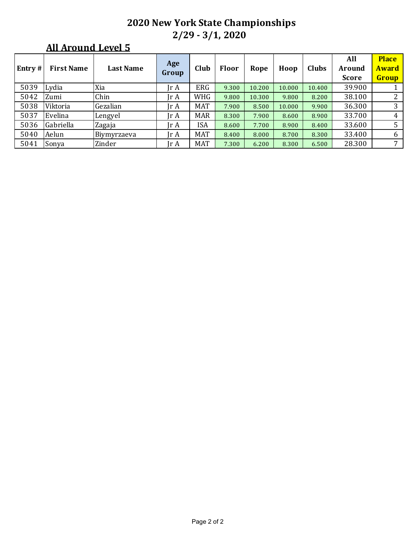| <b>Entry#</b> | <b>First Name</b> | <b>Last Name</b> | Age<br>Group            | Club       | Floor | Rope   | Hoop   | <b>Clubs</b> | All<br>Around<br><b>Score</b> | <b>Place</b><br><b>Award</b><br>Group |
|---------------|-------------------|------------------|-------------------------|------------|-------|--------|--------|--------------|-------------------------------|---------------------------------------|
| 5039          | Lydia             | Xia              | Ir A                    | <b>ERG</b> | 9.300 | 10.200 | 10.000 | 10.400       | 39.900                        |                                       |
| 5042          | Zumi              | Chin             | Jr A                    | WHG        | 9.800 | 10.300 | 9.800  | 8.200        | 38.100                        |                                       |
| 5038          | Viktoria          | Gezalian         | Jr A                    | <b>MAT</b> | 7.900 | 8.500  | 10.000 | 9.900        | 36.300                        |                                       |
| 5037          | Evelina           | Lengyel          | Ir A                    | <b>MAR</b> | 8.300 | 7.900  | 8.600  | 8.900        | 33.700                        | 4                                     |
| 5036          | Gabriella         | Zagaja           | Jr A                    | ISA        | 8.600 | 7.700  | 8.900  | 8.400        | 33.600                        |                                       |
| 5040          | Aelun             | Biymyrzaeva      | $\text{Tr } \mathbf{A}$ | <b>MAT</b> | 8.400 | 8.000  | 8.700  | 8.300        | 33.400                        | 6                                     |
| 5041          | Sonya             | Zinder           | Ir A                    | <b>MAT</b> | 7.300 | 6.200  | 8.300  | 6.500        | 28.300                        | 7                                     |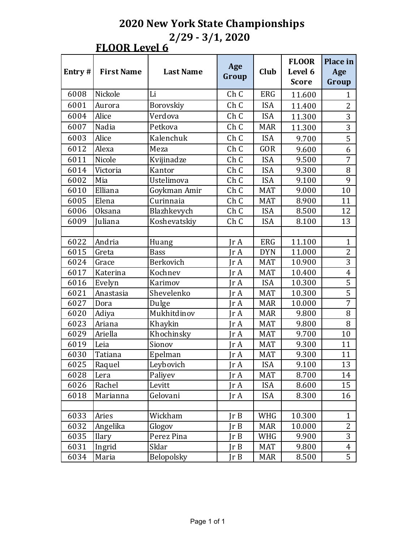#### **FLOOR Level 6**

| Entry# | <b>First Name</b> | <b>Last Name</b> | Age<br>Group    | Club       | <b>FLOOR</b><br>Level 6<br><b>Score</b> | Place in<br>Age<br>Group |
|--------|-------------------|------------------|-----------------|------------|-----------------------------------------|--------------------------|
| 6008   | Nickole           | Li               | Ch C            | <b>ERG</b> | 11.600                                  | $\mathbf{1}$             |
| 6001   | Aurora            | Borovskiy        | Ch <sub>C</sub> | <b>ISA</b> | 11.400                                  | $\overline{2}$           |
| 6004   | Alice             | Verdova          | Ch C            | <b>ISA</b> | 11.300                                  | 3                        |
| 6007   | Nadia             | Petkova          | Ch C            | <b>MAR</b> | 11.300                                  | 3                        |
| 6003   | Alice             | Kalenchuk        | Ch C            | <b>ISA</b> | 9.700                                   | 5                        |
| 6012   | Alexa             | Meza             | Ch C            | <b>GOR</b> | 9.600                                   | 6                        |
| 6011   | Nicole            | Kvijinadze       | Ch C            | <b>ISA</b> | 9.500                                   | 7                        |
| 6014   | Victoria          | Kantor           | Ch C            | <b>ISA</b> | 9.300                                   | 8                        |
| 6002   | Mia               | Ustelimova       | Ch C            | <b>ISA</b> | 9.100                                   | 9                        |
| 6010   | Elliana           | Goykman Amir     | Ch C            | <b>MAT</b> | 9.000                                   | 10                       |
| 6005   | Elena             | Curinnaia        | Ch C            | <b>MAT</b> | 8.900                                   | 11                       |
| 6006   | Oksana            | Blazhkevych      | Ch C            | <b>ISA</b> | 8.500                                   | 12                       |
| 6009   | Juliana           | Koshevatskiy     | Ch C            | <b>ISA</b> | 8.100                                   | 13                       |
|        |                   |                  |                 |            |                                         |                          |
| 6022   | Andria            | Huang            | $\text{Tr }A$   | <b>ERG</b> | 11.100                                  | $\mathbf{1}$             |
| 6015   | Greta             | <b>Bass</b>      | Ir A            | <b>DYN</b> | 11.000                                  | 2                        |
| 6024   | Grace             | Berkovich        | $\text{Tr }A$   | <b>MAT</b> | 10.900                                  | 3                        |
| 6017   | Katerina          | Kochnev          | Ir A            | <b>MAT</b> | 10.400                                  | $\overline{4}$           |
| 6016   | Evelyn            | Karimov          | $\text{Tr }A$   | <b>ISA</b> | 10.300                                  | 5                        |
| 6021   | Anastasia         | Shevelenko       | IrA             | <b>MAT</b> | 10.300                                  | 5                        |
| 6027   | Dora              | Dulge            | $\text{Tr }A$   | <b>MAR</b> | 10.000                                  | $\overline{7}$           |
| 6020   | Adiya             | Mukhitdinov      | Ir A            | <b>MAR</b> | 9.800                                   | 8                        |
| 6023   | Ariana            | Khaykin          | $\text{Tr }A$   | <b>MAT</b> | 9.800                                   | 8                        |
| 6029   | Ariella           | Khochinsky       | $\text{Tr }A$   | <b>MAT</b> | 9.700                                   | 10                       |
| 6019   | Leia              | Sionov           | $\text{Tr }A$   | <b>MAT</b> | 9.300                                   | 11                       |
| 6030   | Tatiana           | Epelman          | Jr A            | <b>MAT</b> | 9.300                                   | 11                       |
| 6025   | Raquel            | Leybovich        | Jr A            | <b>ISA</b> | 9.100                                   | 13                       |
| 6028   | Lera              | Paliyev          | Ir A            | <b>MAT</b> | 8.700                                   | 14                       |
| 6026   | Rachel            | Levitt           | Jr A            | <b>ISA</b> | 8.600                                   | 15                       |
| 6018   | Marianna          | Gelovani         | Jr A            | <b>ISA</b> | 8.300                                   | 16                       |
|        |                   |                  |                 |            |                                         |                          |
| 6033   | Aries             | Wickham          | Ir B            | WHG        | 10.300                                  | $\mathbf{1}$             |
| 6032   | Angelika          | Glogov           | Ir B            | <b>MAR</b> | 10.000                                  | $\overline{2}$           |
| 6035   | <b>Ilary</b>      | Perez Pina       | Ir B            | WHG        | 9.900                                   | 3                        |
| 6031   | Ingrid            | Sklar            | JrB             | <b>MAT</b> | 9.800                                   | $\overline{4}$           |
| 6034   | Maria             | Belopolsky       | Jr B            | <b>MAR</b> | 8.500                                   | 5                        |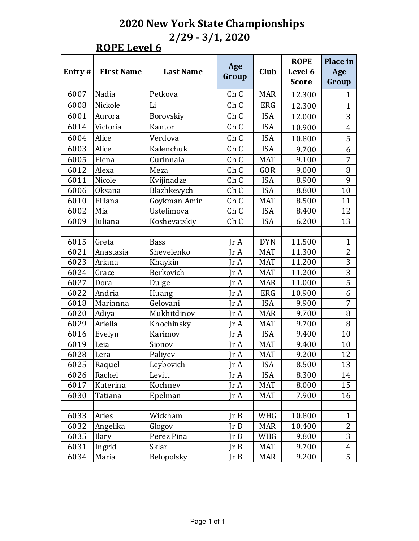#### **ROPE** Level 6

| Entry $#$    | <b>First Name</b> | <b>Last Name</b> | Age<br>Group                 | Club                     | <b>ROPE</b><br>Level 6<br><b>Score</b> | Place in<br>Age<br>Group |
|--------------|-------------------|------------------|------------------------------|--------------------------|----------------------------------------|--------------------------|
| 6007         | Nadia             | Petkova          | Ch C                         | <b>MAR</b>               | 12.300                                 | 1                        |
| 6008         | Nickole           | Li               | Ch C                         | <b>ERG</b>               | 12.300                                 | $\mathbf{1}$             |
| 6001         | Aurora            | Borovskiy        | Ch C                         | <b>ISA</b>               | 12.000                                 | 3                        |
| 6014         | Victoria          | Kantor           | Ch C                         | <b>ISA</b>               | 10.900                                 | $\overline{4}$           |
| 6004         | Alice             | Verdova          | Ch C                         | <b>ISA</b>               | 10.800                                 | 5                        |
| 6003         | Alice             | Kalenchuk        | Ch C                         | <b>ISA</b>               | 9.700                                  | 6                        |
| 6005         | Elena             | Curinnaia        | Ch C                         | <b>MAT</b>               | 9.100                                  | $\overline{7}$           |
| 6012         | Alexa             | Meza             | Ch C                         | <b>GOR</b>               | 9.000                                  | 8                        |
| 6011         | Nicole            |                  | Ch C                         | <b>ISA</b>               | 8.900                                  | 9                        |
|              |                   | Kvijinadze       |                              |                          |                                        |                          |
| 6006<br>6010 | Oksana<br>Elliana | Blazhkevych      | Ch C<br>Ch C                 | <b>ISA</b><br><b>MAT</b> | 8.800<br>8.500                         | 10<br>11                 |
|              |                   | Goykman Amir     |                              |                          |                                        |                          |
| 6002         | Mia               | Ustelimova       | Ch C                         | <b>ISA</b>               | 8.400                                  | 12                       |
| 6009         | Juliana           | Koshevatskiy     | Ch C                         | <b>ISA</b>               | 6.200                                  | 13                       |
|              |                   |                  |                              |                          |                                        |                          |
| 6015         | Greta             | <b>Bass</b>      | Ir A                         | <b>DYN</b>               | 11.500                                 | $\mathbf{1}$             |
| 6021         | Anastasia         | Shevelenko       | $\text{Tr }A$                | <b>MAT</b>               | 11.300                                 | $\overline{2}$           |
| 6023         | Ariana            | Khaykin          | IrA                          | <b>MAT</b>               | 11.200                                 | 3                        |
| 6024         | Grace             | Berkovich        | IrA                          | <b>MAT</b>               | 11.200                                 | 3                        |
| 6027         | Dora              | Dulge            | $\text{Tr } \mathbf{A}$      | <b>MAR</b>               | 11.000                                 | 5                        |
| 6022         | Andria            | Huang            | $\text{Tr }A$                | <b>ERG</b>               | 10.900                                 | 6                        |
| 6018         | Marianna          | Gelovani         | $\text{Tr }A$                | <b>ISA</b>               | 9.900                                  | 7                        |
| 6020         | Adiya             | Mukhitdinov      | Ir A                         | <b>MAR</b>               | 9.700                                  | 8                        |
| 6029         | Ariella           | Khochinsky       | $\text{Tr } \mathbf{A}$      | <b>MAT</b>               | 9.700                                  | 8                        |
| 6016         | Evelyn            | Karimov          | Ir A                         | <b>ISA</b>               | 9.400                                  | 10                       |
| 6019         | Leia              | Sionov           | IrA                          | <b>MAT</b>               | 9.400                                  | 10                       |
| 6028         | Lera              | Paliyev          | $\mathop{\rm Ir}\nolimits$ A | <b>MAT</b>               | 9.200                                  | 12                       |
| 6025         | Raquel            | Leybovich        | Jr A                         | <b>ISA</b>               | 8.500                                  | 13                       |
| 6026         | Rachel            | Levitt           | Ir A                         | <b>ISA</b>               | 8.300                                  | 14                       |
| 6017         | Katerina          | Kochnev          | JrA                          | <b>MAT</b>               | 8.000                                  | 15                       |
| 6030         | Tatiana           | Epelman          | Ir A                         | MAT                      | 7.900                                  | 16                       |
|              |                   |                  |                              |                          |                                        |                          |
| 6033         | Aries             | Wickham          | Ir B                         | WHG                      | 10.800                                 | $\mathbf{1}$             |
| 6032         | Angelika          | Glogov           | JrB                          | <b>MAR</b>               | 10.400                                 | $\overline{2}$           |
| 6035         | <b>Ilary</b>      | Perez Pina       | Ir B                         | WHG                      | 9.800                                  | 3                        |
| 6031         | Ingrid            | Sklar            | JrB                          | <b>MAT</b>               | 9.700                                  | $\overline{4}$           |
| 6034         | Maria             | Belopolsky       | JrB                          | MAR                      | 9.200                                  | 5                        |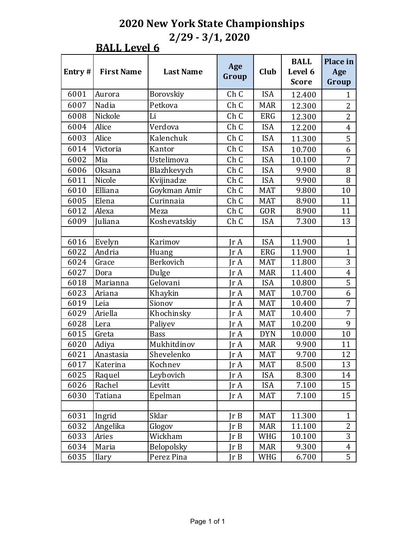#### **BALL Level 6**

| Entry# | <b>First Name</b> | <b>Last Name</b> | Age<br>Group            | Club       | <b>BALL</b><br>Level 6<br><b>Score</b> | Place in<br>Age<br>Group |
|--------|-------------------|------------------|-------------------------|------------|----------------------------------------|--------------------------|
| 6001   | Aurora            | Borovskiy        | Ch <sub>C</sub>         | <b>ISA</b> | 12.400                                 | $\mathbf{1}$             |
| 6007   | Nadia             | Petkova          | Ch C                    | <b>MAR</b> | 12.300                                 | $\overline{2}$           |
| 6008   | Nickole           | Li               | Ch C                    | <b>ERG</b> | 12.300                                 | $\overline{2}$           |
| 6004   | Alice             | Verdova          | Ch C                    | <b>ISA</b> | 12.200                                 | $\overline{4}$           |
| 6003   | Alice             | Kalenchuk        | Ch C                    | <b>ISA</b> | 11.300                                 | 5                        |
| 6014   | Victoria          | Kantor           | Ch C                    | <b>ISA</b> | 10.700                                 | 6                        |
| 6002   | Mia               | Ustelimova       | Ch C                    | <b>ISA</b> | 10.100                                 | 7                        |
| 6006   | <b>Oksana</b>     | Blazhkevych      | Ch C                    | <b>ISA</b> | 9.900                                  | 8                        |
| 6011   | Nicole            | Kvijinadze       | Ch C                    | <b>ISA</b> | 9.900                                  | 8                        |
| 6010   | Elliana           | Goykman Amir     | Ch C                    | <b>MAT</b> | 9.800                                  | 10                       |
| 6005   | Elena             | Curinnaia        | Ch C                    | <b>MAT</b> | 8.900                                  | 11                       |
| 6012   | Alexa             | Meza             | Ch C                    | <b>GOR</b> | 8.900                                  | 11                       |
| 6009   | Juliana           | Koshevatskiy     | Ch C                    | <b>ISA</b> | 7.300                                  | 13                       |
|        |                   |                  |                         |            |                                        |                          |
| 6016   | Evelyn            | Karimov          | $\text{Tr } \mathbf{A}$ | <b>ISA</b> | 11.900                                 | $\mathbf{1}$             |
| 6022   | Andria            | Huang            | Ir A                    | <b>ERG</b> | 11.900                                 | $\mathbf{1}$             |
| 6024   | Grace             | Berkovich        | $\text{Tr }A$           | <b>MAT</b> | 11.800                                 | 3                        |
| 6027   | Dora              | Dulge            | Ir A                    | <b>MAR</b> | 11.400                                 | $\overline{4}$           |
| 6018   | Marianna          | Gelovani         | $\text{Tr }A$           | <b>ISA</b> | 10.800                                 | 5                        |
| 6023   | Ariana            | Khaykin          | Ir A                    | <b>MAT</b> | 10.700                                 | 6                        |
| 6019   | Leia              | Sionov           | $\text{Tr }A$           | <b>MAT</b> | 10.400                                 | 7                        |
| 6029   | Ariella           | Khochinsky       | IrA                     | <b>MAT</b> | 10.400                                 | 7                        |
| 6028   | Lera              | Paliyev          | $\text{Tr }A$           | <b>MAT</b> | 10.200                                 | 9                        |
| 6015   | Greta             | <b>Bass</b>      | $\text{Tr }A$           | <b>DYN</b> | 10.000                                 | 10                       |
| 6020   | Adiya             | Mukhitdinov      | $\text{Tr }A$           | <b>MAR</b> | 9.900                                  | 11                       |
| 6021   | Anastasia         | Shevelenko       | Jr A                    | <b>MAT</b> | 9.700                                  | 12                       |
| 6017   | Katerina          | Kochnev          | Jr A                    | <b>MAT</b> | 8.500                                  | 13                       |
| 6025   | Raquel            | Leybovich        | Jr A                    | <b>ISA</b> | 8.300                                  | 14                       |
| 6026   | Rachel            | Levitt           | Jr A                    | <b>ISA</b> | 7.100                                  | 15                       |
| 6030   | Tatiana           | Epelman          | Jr A                    | <b>MAT</b> | 7.100                                  | 15                       |
|        |                   |                  |                         |            |                                        |                          |
| 6031   | Ingrid            | Sklar            | Ir B                    | <b>MAT</b> | 11.300                                 | $\mathbf{1}$             |
| 6032   | Angelika          | Glogov           | Ir B                    | <b>MAR</b> | 11.100                                 | $\overline{2}$           |
| 6033   | Aries             | Wickham          | Ir B                    | WHG        | 10.100                                 | 3                        |
| 6034   | Maria             | Belopolsky       | JrB                     | <b>MAR</b> | 9.300                                  | $\overline{4}$           |
| 6035   | <b>Ilary</b>      | Perez Pina       | JrB                     | WHG        | 6.700                                  | 5                        |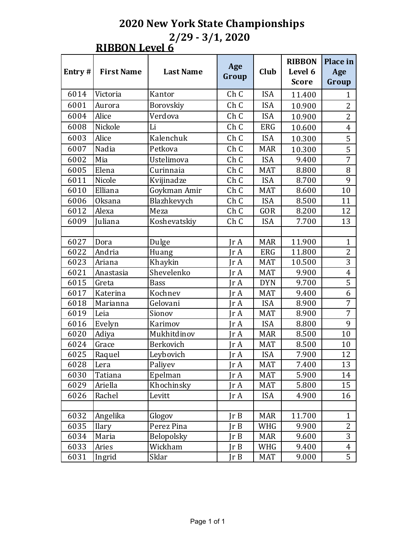#### **RIBBON Level 6**

|        |                   |                   |                |            | <b>RIBBON</b> | Place in       |
|--------|-------------------|-------------------|----------------|------------|---------------|----------------|
| Entry# | <b>First Name</b> | <b>Last Name</b>  | Age<br>Group   | Club       | Level 6       | Age            |
|        |                   |                   |                |            | <b>Score</b>  | Group          |
| 6014   | Victoria          | Kantor            | Ch C           | <b>ISA</b> | 11.400        | $\mathbf{1}$   |
| 6001   | Aurora            | Borovskiy         | Ch C           | <b>ISA</b> | 10.900        | $\overline{2}$ |
| 6004   | Alice             | Verdova           | Ch C           | <b>ISA</b> | 10.900        | $\overline{2}$ |
| 6008   | Nickole           | Li                | Ch C           | <b>ERG</b> | 10.600        | $\overline{4}$ |
| 6003   | Alice             | Kalenchuk         | Ch C           | <b>ISA</b> | 10.300        | 5              |
| 6007   | Nadia             | Petkova           | Ch C           | <b>MAR</b> | 10.300        | 5              |
| 6002   | Mia               | Ustelimova        | Ch C           | <b>ISA</b> | 9.400         | $\overline{7}$ |
| 6005   | Elena             | Curinnaia         | Ch C           | <b>MAT</b> | 8.800         | 8              |
| 6011   | Nicole            | Kvijinadze        | Ch C           | <b>ISA</b> | 8.700         | 9              |
| 6010   | Elliana           | Goykman Amir      | Ch C           | <b>MAT</b> | 8.600         | 10             |
| 6006   | <b>Oksana</b>     | Blazhkevych       | Ch C           | <b>ISA</b> | 8.500         | 11             |
| 6012   | Alexa             | Meza              | Ch C           | <b>GOR</b> | 8.200         | 12             |
| 6009   | Juliana           | Koshevatskiy      | Ch C           | <b>ISA</b> | 7.700         | 13             |
|        |                   |                   |                |            |               |                |
| 6027   | Dora              | Dulge             | $\text{Ir } A$ | <b>MAR</b> | 11.900        | $\mathbf{1}$   |
| 6022   | Andria            | Huang             | $\text{Tr }A$  | <b>ERG</b> | 11.800        | $\overline{2}$ |
| 6023   | Ariana            | Khaykin           | IrA            | <b>MAT</b> | 10.500        | 3              |
| 6021   | Anastasia         | Shevelenko        | $\text{Tr }A$  | <b>MAT</b> | 9.900         | $\overline{4}$ |
| 6015   | Greta             | <b>Bass</b>       | IrA            | <b>DYN</b> | 9.700         | 5              |
| 6017   | Katerina          | Kochnev           | $\text{Tr }A$  | <b>MAT</b> | 9.400         | 6              |
| 6018   | Marianna          | Gelovani          | IrA            | <b>ISA</b> | 8.900         | $\overline{7}$ |
| 6019   | Leia              | Sionov            | $\text{Tr }A$  | <b>MAT</b> | 8.900         | $\overline{7}$ |
| 6016   | Evelyn            | Karimov           | IrA            | <b>ISA</b> | 8.800         | 9              |
| 6020   | Adiya             | Mukhitdinov       | $\text{Tr }A$  | <b>MAR</b> | 8.500         | 10             |
| 6024   | Grace             | Berkovich         | IrA            | <b>MAT</b> | 8.500         | 10             |
| 6025   | Raquel            | Leybovich         | $\text{Tr }A$  | <b>ISA</b> | 7.900         | 12             |
| 6028   | Lera              | Paliyev           | $\text{Tr }A$  | <b>MAT</b> | 7.400         | 13             |
| 6030   | Tatiana           | Epelman           | $\text{Tr }A$  | <b>MAT</b> | 5.900         | 14             |
| 6029   | Ariella           | Khochinsky        | JrA            | <b>MAT</b> | 5.800         | 15             |
| 6026   | Rachel            | Levitt            | JrA            | <b>ISA</b> | 4.900         | 16             |
|        |                   |                   |                |            |               |                |
| 6032   | Angelika          | Glogov            | Ir B           | <b>MAR</b> | 11.700        | $\mathbf{1}$   |
| 6035   | <b>Ilary</b>      | Perez Pina        | JrB            | WHG        | 9.900         | $\overline{2}$ |
| 6034   | Maria             | <b>Belopolsky</b> | Ir B           | <b>MAR</b> | 9.600         | 3              |
| 6033   | Aries             | Wickham           | Ir B           | WHG        | 9.400         | $\overline{4}$ |
| 6031   | Ingrid            | Sklar             | JrB            | <b>MAT</b> | 9.000         | 5              |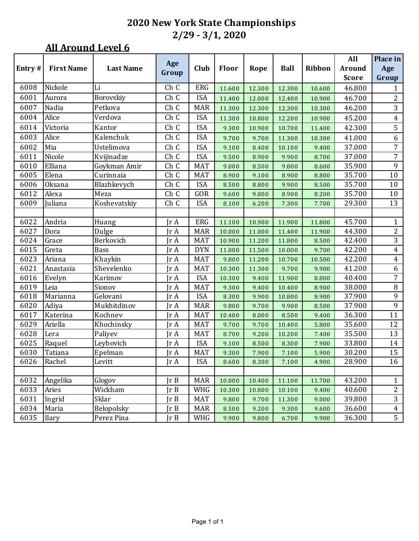|           |                   |                  |       |            |        |        |             |        | All          | Place in       |
|-----------|-------------------|------------------|-------|------------|--------|--------|-------------|--------|--------------|----------------|
| Entry $#$ | <b>First Name</b> | <b>Last Name</b> | Age   | Club       | Floor  | Rope   | <b>Ball</b> | Ribbon | Around       | Age            |
|           |                   |                  | Group |            |        |        |             |        | <b>Score</b> | Group          |
| 6008      | Nickole           | Li               | Ch C  | ERG        | 11.600 | 12.300 | 12.300      | 10.600 | 46.800       | $\mathbf{1}$   |
| 6001      | Aurora            | Borovskiy        | Ch C  | <b>ISA</b> | 11.400 | 12.000 | 12.400      | 10.900 | 46.700       | 2              |
| 6007      | Nadia             | Petkova          | Ch C  | <b>MAR</b> | 11.300 | 12.300 | 12.300      | 10.300 | 46.200       | 3              |
| 6004      | Alice             | Verdova          | Ch C  | <b>ISA</b> | 11.300 | 10.800 | 12.200      | 10.900 | 45.200       | $\overline{4}$ |
| 6014      | Victoria          | Kantor           | Ch C  | <b>ISA</b> | 9.300  | 10.900 | 10.700      | 11.400 | 42.300       | 5              |
| 6003      | Alice             | Kalenchuk        | Ch C  | <b>ISA</b> | 9.700  | 9.700  | 11.300      | 10.300 | 41.000       | 6              |
| 6002      | Mia               | Ustelimova       | Ch C  | <b>ISA</b> | 9.100  | 8.400  | 10.100      | 9.400  | 37.000       | $\overline{7}$ |
| 6011      | Nicole            | Kvijinadze       | Ch C  | <b>ISA</b> | 9.500  | 8.900  | 9.900       | 8.700  | 37.000       | 7              |
| 6010      | Elliana           | Goykman Amir     | Ch C  | <b>MAT</b> | 9.000  | 8.500  | 9.800       | 8.600  | 35.900       | 9              |
| 6005      | Elena             | Curinnaia        | Ch C  | <b>MAT</b> | 8.900  | 9.100  | 8.900       | 8.800  | 35.700       | 10             |
| 6006      | Oksana            | Blazhkevych      | Ch C  | <b>ISA</b> | 8.500  | 8.800  | 9.900       | 8.500  | 35.700       | 10             |
| 6012      | Alexa             | Meza             | Ch C  | GOR        | 9.600  | 9.000  | 8.900       | 8.200  | 35.700       | 10             |
| 6009      | Juliana           | Koshevatskiy     | Ch C  | <b>ISA</b> | 8.100  | 6.200  | 7.300       | 7.700  | 29.300       | 13             |
|           |                   |                  |       |            |        |        |             |        |              |                |
| 6022      | Andria            | Huang            | Jr A  | ERG        | 11.100 | 10.900 | 11.900      | 11.800 | 45.700       | $\mathbf{1}$   |
| 6027      | Dora              | Dulge            | Jr A  | <b>MAR</b> | 10.000 | 11.000 | 11.400      | 11.900 | 44.300       | $\overline{c}$ |
| 6024      | Grace             | Berkovich        | Jr A  | <b>MAT</b> | 10.900 | 11.200 | 11.800      | 8.500  | 42.400       | 3              |
| 6015      | Greta             | Bass             | Jr A  | <b>DYN</b> | 11.000 | 11.500 | 10.000      | 9.700  | 42.200       | $\overline{4}$ |
| 6023      | Ariana            | Khaykin          | Jr A  | <b>MAT</b> | 9.800  | 11.200 | 10.700      | 10.500 | 42.200       | $\overline{4}$ |
| 6021      | Anastasia         | Shevelenko       | Jr A  | <b>MAT</b> | 10.300 | 11.300 | 9.700       | 9.900  | 41.200       | 6              |
| 6016      | Evelyn            | Karimov          | Jr A  | <b>ISA</b> | 10.300 | 9.400  | 11.900      | 8.800  | 40.400       | 7              |
| 6019      | Leia              | Sionov           | Jr A  | <b>MAT</b> | 9.300  | 9.400  | 10.400      | 8.900  | 38.000       | $\, 8$         |
| 6018      | Marianna          | Gelovani         | Jr A  | <b>ISA</b> | 8.300  | 9.900  | 10.800      | 8.900  | 37.900       | 9              |
| 6020      | Adiya             | Mukhitdinov      | Jr A  | <b>MAR</b> | 9.800  | 9.700  | 9.900       | 8.500  | 37.900       | 9              |
| 6017      | Katerina          | Kochnev          | Jr A  | <b>MAT</b> | 10.400 | 8.000  | 8.500       | 9.400  | 36.300       | 11             |
| 6029      | Ariella           | Khochinsky       | Jr A  | <b>MAT</b> | 9.700  | 9.700  | 10.400      | 5.800  | 35.600       | 12             |
| 6028      | Lera              | Paliyev          | Jr A  | <b>MAT</b> | 8.700  | 9.200  | 10.200      | 7.400  | 35.500       | 13             |
| 6025      | Raquel            | Leybovich        | Jr A  | <b>ISA</b> | 9.100  | 8.500  | 8.300       | 7.900  | 33.800       | 14             |
| 6030      | Tatiana           | Epelman          | Jr A  | <b>MAT</b> | 9.300  | 7.900  | 7.100       | 5.900  | 30.200       | 15             |
| 6026      | Rachel            | Levitt           | Jr A  | ISA        | 8.600  | 8.300  | 7.100       | 4.900  | 28.900       | 16             |
|           |                   |                  |       |            |        |        |             |        |              |                |
| 6032      | Angelika          | Glogov           | Ir B  | <b>MAR</b> | 10.000 | 10.400 | 11.100      | 11.700 | 43.200       | $\mathbf{1}$   |
| 6033      | Aries             | Wickham          | Jr B  | WHG        | 10.300 | 10.800 | 10.100      | 9.400  | 40.600       | $\overline{c}$ |
| 6031      | Ingrid            | Sklar            | Jr B  | <b>MAT</b> | 9.800  | 9.700  | 11.300      | 9.000  | 39.800       | $\overline{3}$ |
| 6034      | Maria             | Belopolsky       | Ir B  | <b>MAR</b> | 8.500  | 9.200  | 9.300       | 9.600  | 36.600       | $\overline{4}$ |
| 6035      | <b>Ilary</b>      | Perez Pina       | JrB   | WHG        | 9.900  | 9.800  | 6.700       | 9.900  | 36.300       | 5              |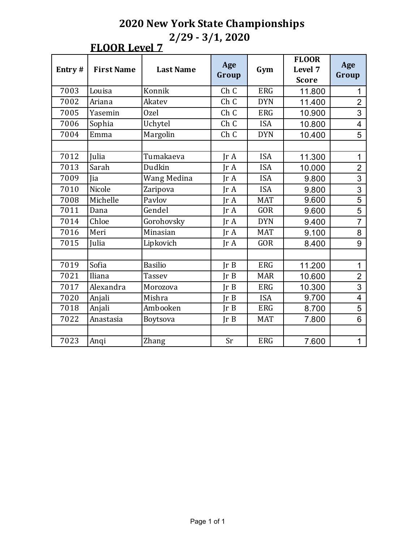## **FLOOR Level 7**

| Entry# | <b>First Name</b> | <b>Last Name</b> | Age<br>Group | Gym        | <b>FLOOR</b><br>Level 7<br><b>Score</b> | Age<br>Group             |
|--------|-------------------|------------------|--------------|------------|-----------------------------------------|--------------------------|
| 7003   | Louisa            | Konnik           | Ch C         | <b>ERG</b> | 11.800                                  | 1                        |
| 7002   | Ariana            | Akatev           | Ch C         | <b>DYN</b> | 11.400                                  | $\overline{2}$           |
| 7005   | Yasemin           | Ozel             | Ch C         | <b>ERG</b> | 10.900                                  | 3                        |
| 7006   | Sophia            | Uchytel          | Ch C         | <b>ISA</b> | 10.800                                  | $\overline{\mathcal{A}}$ |
| 7004   | Emma              | Margolin         | Ch C         | <b>DYN</b> | 10.400                                  | 5                        |
|        |                   |                  |              |            |                                         |                          |
| 7012   | Julia             | Tumakaeva        | IrA          | <b>ISA</b> | 11.300                                  | $\mathbf 1$              |
| 7013   | Sarah             | Dudkin           | IrA          | <b>ISA</b> | 10.000                                  | $\overline{2}$           |
| 7009   | Jia               | Wang Medina      | IrA          | <b>ISA</b> | 9.800                                   | 3                        |
| 7010   | Nicole            | Zaripova         | IrA          | <b>ISA</b> | 9.800                                   | 3                        |
| 7008   | Michelle          | Pavlov           | Ir A         | <b>MAT</b> | 9.600                                   | $\overline{5}$           |
| 7011   | Dana              | Gendel           | IrA          | <b>GOR</b> | 9.600                                   | 5                        |
| 7014   | Chloe             | Gorohovsky       | IrA          | <b>DYN</b> | 9.400                                   | $\overline{7}$           |
| 7016   | Meri              | Minasian         | IrA          | <b>MAT</b> | 9.100                                   | 8                        |
| 7015   | Julia             | Lipkovich        | IrA          | <b>GOR</b> | 8.400                                   | 9                        |
|        |                   |                  |              |            |                                         |                          |
| 7019   | Sofia             | <b>Basilio</b>   | Ir B         | <b>ERG</b> | 11.200                                  | $\mathbf 1$              |
| 7021   | Iliana            | <b>Tassev</b>    | Ir B         | <b>MAR</b> | 10.600                                  | $\overline{2}$           |
| 7017   | Alexandra         | Morozova         | Ir B         | <b>ERG</b> | 10.300                                  | 3                        |
| 7020   | Anjali            | Mishra           | Ir B         | <b>ISA</b> | 9.700                                   | $\overline{\mathbf{4}}$  |
| 7018   | Anjali            | Ambooken         | Ir B         | <b>ERG</b> | 8.700                                   | 5                        |
| 7022   | Anastasia         | Boytsova         | Ir B         | <b>MAT</b> | 7.800                                   | 6                        |
|        |                   |                  |              |            |                                         |                          |
| 7023   | Anqi              | Zhang            | Sr           | <b>ERG</b> | 7.600                                   | $\overline{1}$           |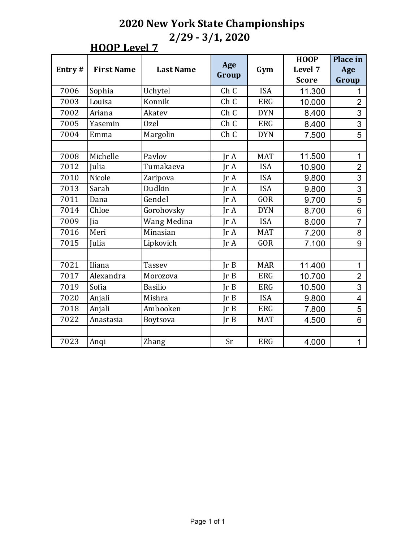#### **HOOP** Level 7

|        |                   |                  |               |            | <b>HOOP</b>  | <b>Place in</b>         |
|--------|-------------------|------------------|---------------|------------|--------------|-------------------------|
| Entry# | <b>First Name</b> | <b>Last Name</b> | Age           | Gym        | Level 7      | Age                     |
|        |                   |                  | Group         |            | <b>Score</b> | Group                   |
| 7006   | Sophia            | Uchytel          | Ch C          | <b>ISA</b> | 11.300       |                         |
| 7003   | Louisa            | Konnik           | Ch C          | <b>ERG</b> | 10.000       | $\overline{2}$          |
| 7002   | Ariana            | Akatev           | Ch C          | <b>DYN</b> | 8.400        | 3                       |
| 7005   | Yasemin           | Ozel             | Ch C          | <b>ERG</b> | 8.400        | 3                       |
| 7004   | Emma              | Margolin         | Ch C          | <b>DYN</b> | 7.500        | 5                       |
|        |                   |                  |               |            |              |                         |
| 7008   | Michelle          | Pavlov           | IrA           | <b>MAT</b> | 11.500       | $\mathbf 1$             |
| 7012   | Julia             | Tumakaeva        | IrA           | <b>ISA</b> | 10.900       | $\overline{2}$          |
| 7010   | Nicole            | Zaripova         | IrA           | <b>ISA</b> | 9.800        | 3                       |
| 7013   | Sarah             | Dudkin           | IrA           | <b>ISA</b> | 9.800        | 3                       |
| 7011   | Dana              | Gendel           | $\text{Tr }A$ | <b>GOR</b> | 9.700        | 5                       |
| 7014   | Chloe             | Gorohovsky       | IrA           | <b>DYN</b> | 8.700        | 6                       |
| 7009   | Jia               | Wang Medina      | $\text{Tr }A$ | <b>ISA</b> | 8.000        | $\overline{7}$          |
| 7016   | Meri              | Minasian         | IrA           | <b>MAT</b> | 7.200        | 8                       |
| 7015   | Julia             | Lipkovich        | IrA           | <b>GOR</b> | 7.100        | 9                       |
|        |                   |                  |               |            |              |                         |
| 7021   | Iliana            | <b>Tassev</b>    | Ir B          | <b>MAR</b> | 11.400       | $\mathbf{1}$            |
| 7017   | Alexandra         | Morozova         | Ir B          | <b>ERG</b> | 10.700       | $\overline{2}$          |
| 7019   | Sofia             | <b>Basilio</b>   | Ir B          | <b>ERG</b> | 10.500       | 3                       |
| 7020   | Anjali            | Mishra           | Ir B          | <b>ISA</b> | 9.800        | $\overline{\mathbf{4}}$ |
| 7018   | Anjali            | Ambooken         | Ir B          | <b>ERG</b> | 7.800        | 5                       |
| 7022   | Anastasia         | Boytsova         | Ir B          | <b>MAT</b> | 4.500        | 6                       |
|        |                   |                  |               |            |              |                         |
| 7023   | Anqi              | Zhang            | Sr            | <b>ERG</b> | 4.000        | $\mathbf{1}$            |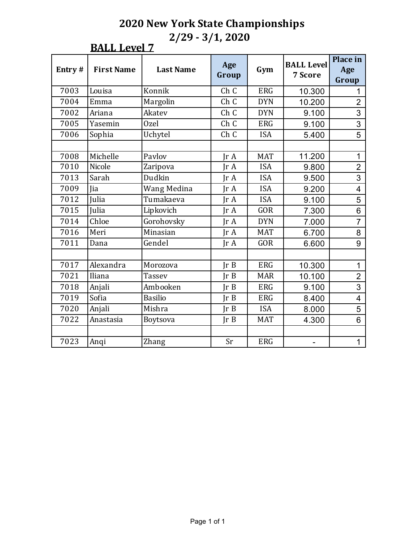#### **BALL Level 7**

| Entry# | <b>First Name</b> | <b>Last Name</b> | Age<br>Group  | Gym        | <b>BALL Level</b><br>7 Score | <b>Place in</b><br>Age<br>Group |
|--------|-------------------|------------------|---------------|------------|------------------------------|---------------------------------|
| 7003   | Louisa            | Konnik           | Ch C          | <b>ERG</b> | 10.300                       |                                 |
| 7004   | Emma              | Margolin         | Ch C          | <b>DYN</b> | 10.200                       | $\overline{2}$                  |
| 7002   | Ariana            | Akatev           | Ch C          | <b>DYN</b> | 9.100                        | 3                               |
| 7005   | Yasemin           | Ozel             | Ch C          | <b>ERG</b> | 9.100                        | 3                               |
| 7006   | Sophia            | Uchytel          | Ch C          | <b>ISA</b> | 5.400                        | 5                               |
|        |                   |                  |               |            |                              |                                 |
| 7008   | Michelle          | Pavlov           | IrA           | <b>MAT</b> | 11.200                       | 1                               |
| 7010   | Nicole            | Zaripova         | IrA           | <b>ISA</b> | 9.800                        | $\overline{2}$                  |
| 7013   | Sarah             | Dudkin           | IrA           | <b>ISA</b> | 9.500                        | $\overline{3}$                  |
| 7009   | Jia               | Wang Medina      | IrA           | <b>ISA</b> | 9.200                        | $\overline{4}$                  |
| 7012   | Julia             | Tumakaeva        | IrA           | <b>ISA</b> | 9.100                        | 5                               |
| 7015   | Julia             | Lipkovich        | Ir A          | <b>GOR</b> | 7.300                        | 6                               |
| 7014   | Chloe             | Gorohovsky       | IrA           | <b>DYN</b> | 7.000                        | $\overline{7}$                  |
| 7016   | Meri              | Minasian         | $\text{Tr }A$ | <b>MAT</b> | 6.700                        | 8                               |
| 7011   | Dana              | Gendel           | IrA           | <b>GOR</b> | 6.600                        | 9                               |
|        |                   |                  |               |            |                              |                                 |
| 7017   | Alexandra         | Morozova         | Ir B          | <b>ERG</b> | 10.300                       | $\mathbf{1}$                    |
| 7021   | Iliana            | <b>Tassev</b>    | Ir B          | <b>MAR</b> | 10.100                       | $\overline{2}$                  |
| 7018   | Anjali            | Ambooken         | Ir B          | <b>ERG</b> | 9.100                        | 3                               |
| 7019   | Sofia             | <b>Basilio</b>   | Ir B          | <b>ERG</b> | 8.400                        | $\overline{4}$                  |
| 7020   | Anjali            | Mishra           | Ir B          | <b>ISA</b> | 8.000                        | 5                               |
| 7022   | Anastasia         | Boytsova         | Ir B          | <b>MAT</b> | 4.300                        | 6                               |
|        |                   |                  |               |            |                              |                                 |
| 7023   | Anqi              | Zhang            | <b>Sr</b>     | <b>ERG</b> |                              | 1                               |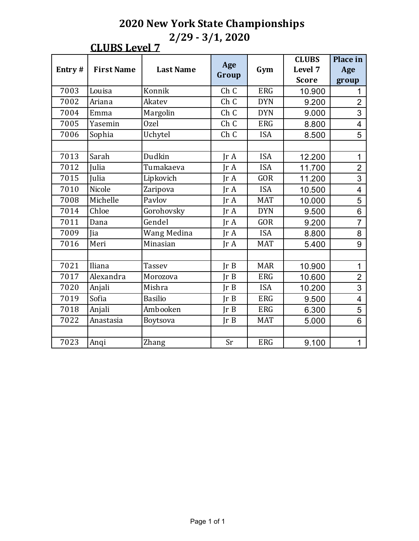### **CLUBS Level 7**

|        |                   |                  |       |            | <b>CLUBS</b> | <b>Place in</b>         |
|--------|-------------------|------------------|-------|------------|--------------|-------------------------|
| Entry# | <b>First Name</b> | <b>Last Name</b> | Age   | Gym        | Level 7      | Age                     |
|        |                   |                  | Group |            | <b>Score</b> | group                   |
| 7003   | Louisa            | Konnik           | Ch C  | <b>ERG</b> | 10.900       |                         |
| 7002   | Ariana            | Akatev           | Ch C  | <b>DYN</b> | 9.200        | $\overline{2}$          |
| 7004   | Emma              | Margolin         | Ch C  | <b>DYN</b> | 9.000        | 3                       |
| 7005   | Yasemin           | Ozel             | Ch C  | <b>ERG</b> | 8.800        | 4                       |
| 7006   | Sophia            | Uchytel          | Ch C  | <b>ISA</b> | 8.500        | 5                       |
|        |                   |                  |       |            |              |                         |
| 7013   | Sarah             | Dudkin           | IrA   | <b>ISA</b> | 12.200       | $\mathbf 1$             |
| 7012   | Julia             | Tumakaeva        | IrA   | <b>ISA</b> | 11.700       | $\overline{2}$          |
| 7015   | Julia             | Lipkovich        | IrA   | <b>GOR</b> | 11.200       | $\overline{3}$          |
| 7010   | Nicole            | Zaripova         | IrA   | <b>ISA</b> | 10.500       | $\overline{\mathbf{4}}$ |
| 7008   | Michelle          | Pavlov           | IrA   | <b>MAT</b> | 10.000       | 5                       |
| 7014   | Chloe             | Gorohovsky       | IrA   | <b>DYN</b> | 9.500        | 6                       |
| 7011   | Dana              | Gendel           | IrA   | <b>GOR</b> | 9.200        | $\overline{7}$          |
| 7009   | Jia               | Wang Medina      | IrA   | <b>ISA</b> | 8.800        | 8                       |
| 7016   | Meri              | Minasian         | IrA   | <b>MAT</b> | 5.400        | 9                       |
|        |                   |                  |       |            |              |                         |
| 7021   | Iliana            | <b>Tassev</b>    | Ir B  | <b>MAR</b> | 10.900       | $\mathbf{1}$            |
| 7017   | Alexandra         | Morozova         | Ir B  | <b>ERG</b> | 10.600       | $\overline{2}$          |
| 7020   | Anjali            | Mishra           | Ir B  | <b>ISA</b> | 10.200       | $\overline{3}$          |
| 7019   | Sofia             | <b>Basilio</b>   | Ir B  | <b>ERG</b> | 9.500        | 4                       |
| 7018   | Anjali            | Ambooken         | IrB   | <b>ERG</b> | 6.300        | 5                       |
| 7022   | Anastasia         | Boytsova         | Ir B  | <b>MAT</b> | 5.000        | 6                       |
|        |                   |                  |       |            |              |                         |
| 7023   | Anqi              | Zhang            | Sr    | <b>ERG</b> | 9.100        | $\mathbf{1}$            |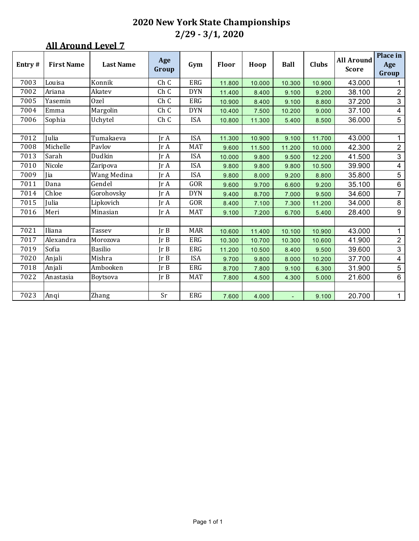| Entry# | <b>First Name</b> | <b>Last Name</b> | Age<br>Group                 | Gym        | <b>Floor</b> | Hoop   | <b>Ball</b> | <b>Clubs</b> | <b>All Around</b><br><b>Score</b> | Place in<br>Age<br>Group |
|--------|-------------------|------------------|------------------------------|------------|--------------|--------|-------------|--------------|-----------------------------------|--------------------------|
| 7003   | Louisa            | Konnik           | Ch C                         | ERG        | 11.800       | 10.000 | 10.300      | 10.900       | 43.000                            | 1                        |
| 7002   | Ariana            | Akatev           | Ch C                         | <b>DYN</b> | 11.400       | 8.400  | 9.100       | 9.200        | 38.100                            | $\overline{2}$           |
| 7005   | Yasemin           | Ozel             | Ch C                         | <b>ERG</b> | 10.900       | 8.400  | 9.100       | 8.800        | 37.200                            | $\mathfrak{S}$           |
| 7004   | Emma              | Margolin         | Ch C                         | <b>DYN</b> | 10.400       | 7.500  | 10.200      | 9.000        | 37.100                            | 4                        |
| 7006   | Sophia            | Uchytel          | Ch C                         | <b>ISA</b> | 10.800       | 11.300 | 5.400       | 8.500        | 36.000                            | 5                        |
|        |                   |                  |                              |            |              |        |             |              |                                   |                          |
| 7012   | Julia             | Tumakaeva        | IrA                          | <b>ISA</b> | 11.300       | 10.900 | 9.100       | 11.700       | 43.000                            | 1                        |
| 7008   | Michelle          | Pavlov           | IrA                          | <b>MAT</b> | 9.600        | 11.500 | 11.200      | 10.000       | 42.300                            | $\overline{2}$           |
| 7013   | Sarah             | Dudkin           | Jr A                         | <b>ISA</b> | 10.000       | 9.800  | 9.500       | 12.200       | 41.500                            | $\mathfrak{S}$           |
| 7010   | Nicole            | Zaripova         | $\mathop{\rm Ir}\nolimits$ A | <b>ISA</b> | 9.800        | 9.800  | 9.800       | 10.500       | 39.900                            | $\overline{\mathbf{4}}$  |
| 7009   | <b>lia</b>        | Wang Medina      | IrA                          | <b>ISA</b> | 9.800        | 8.000  | 9.200       | 8.800        | 35.800                            | $\overline{5}$           |
| 7011   | Dana              | Gendel           | Ir A                         | GOR        | 9.600        | 9.700  | 6.600       | 9.200        | 35.100                            | $6\phantom{a}$           |
| 7014   | Chloe             | Gorohovsky       | Jr A                         | <b>DYN</b> | 9.400        | 8.700  | 7.000       | 9.500        | 34.600                            | $\overline{7}$           |
| 7015   | Julia             | Lipkovich        | Ir A                         | GOR        | 8.400        | 7.100  | 7.300       | 11.200       | 34.000                            | $\,8\,$                  |
| 7016   | Meri              | Minasian         | Jr A                         | <b>MAT</b> | 9.100        | 7.200  | 6.700       | 5.400        | 28.400                            | 9                        |
|        |                   |                  |                              |            |              |        |             |              |                                   |                          |
| 7021   | Iliana            | Tassev           | Ir B                         | <b>MAR</b> | 10.600       | 11.400 | 10.100      | 10.900       | 43.000                            | $\mathbf{1}$             |
| 7017   | Alexandra         | Morozova         | Ir B                         | ERG        | 10.300       | 10.700 | 10.300      | 10.600       | 41.900                            | $\overline{2}$           |
| 7019   | Sofia             | <b>Basilio</b>   | IrB                          | ERG        | 11.200       | 10.500 | 8.400       | 9.500        | 39.600                            | $\mathfrak{S}$           |
| 7020   | Anjali            | Mishra           | IrB                          | <b>ISA</b> | 9.700        | 9.800  | 8.000       | 10.200       | 37.700                            | $\overline{4}$           |
| 7018   | Anjali            | Ambooken         | Ir B                         | <b>ERG</b> | 8.700        | 7.800  | 9.100       | 6.300        | 31.900                            | 5                        |
| 7022   | Anastasia         | <b>Boytsova</b>  | Ir B                         | <b>MAT</b> | 7.800        | 4.500  | 4.300       | 5.000        | 21.600                            | $6\phantom{a}$           |
|        |                   |                  |                              |            |              |        |             |              |                                   |                          |
| 7023   | Anqi              | Zhang            | Sr                           | <b>ERG</b> | 7.600        | 4.000  |             | 9.100        | 20.700                            | $\mathbf{1}$             |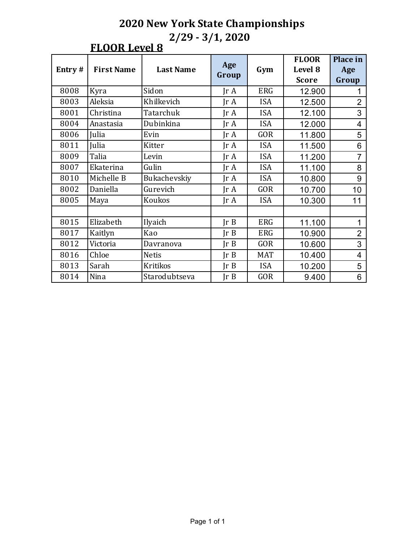## **FLOOR Level 8**

| Entry#<br><b>First Name</b><br><b>Last Name</b> |            | Age             |                         | <b>FLOOR</b> | Place in     |                |
|-------------------------------------------------|------------|-----------------|-------------------------|--------------|--------------|----------------|
|                                                 |            |                 |                         | Gym          | Level 8      | Age            |
|                                                 |            |                 | Group                   |              | <b>Score</b> | Group          |
| 8008                                            | Kyra       | Sidon           | $\text{Tr } \mathbf{A}$ | <b>ERG</b>   | 12.900       |                |
| 8003                                            | Aleksia    | Khilkevich      | $\text{Tr } \mathbf{A}$ | <b>ISA</b>   | 12.500       | $\overline{2}$ |
| 8001                                            | Christina  | Tatarchuk       | $\text{Tr } \mathbf{A}$ | <b>ISA</b>   | 12.100       | 3              |
| 8004                                            | Anastasia  | Dubinkina       | $\text{Tr }A$           | <b>ISA</b>   | 12.000       | 4              |
| 8006                                            | Julia      | Evin            | $\text{Tr } \mathbf{A}$ | <b>GOR</b>   | 11.800       | 5              |
| 8011                                            | Julia      | Kitter          | $\text{Tr } \mathbf{A}$ | <b>ISA</b>   | 11.500       | 6              |
| 8009                                            | Talia      | Levin           | $\text{Tr } \mathbf{A}$ | <b>ISA</b>   | 11.200       | $\overline{7}$ |
| 8007                                            | Ekaterina  | Gulin           | $\text{Tr } \mathbf{A}$ | <b>ISA</b>   | 11.100       | 8              |
| 8010                                            | Michelle B | Bukachevskiy    | $\text{Tr }A$           | <b>ISA</b>   | 10.800       | 9              |
| 8002                                            | Daniella   | Gurevich        | $\text{Tr } \mathbf{A}$ | <b>GOR</b>   | 10.700       | 10             |
| 8005                                            | Maya       | Koukos          | $\text{Tr } \mathbf{A}$ | <b>ISA</b>   | 10.300       | 11             |
|                                                 |            |                 |                         |              |              |                |
| 8015                                            | Elizabeth  | Ilyaich         | Ir B                    | <b>ERG</b>   | 11.100       | 1              |
| 8017                                            | Kaitlyn    | Kao             | Ir B                    | <b>ERG</b>   | 10.900       | $\overline{2}$ |
| 8012                                            | Victoria   | Davranova       | Ir B                    | <b>GOR</b>   | 10.600       | 3              |
| 8016                                            | Chloe      | <b>Netis</b>    | Ir B                    | <b>MAT</b>   | 10.400       | 4              |
| 8013                                            | Sarah      | <b>Kritikos</b> | JrB                     | <b>ISA</b>   | 10.200       | 5              |
| 8014                                            | Nina       | Starodubtseva   | Ir B                    | <b>GOR</b>   | 9.400        | 6              |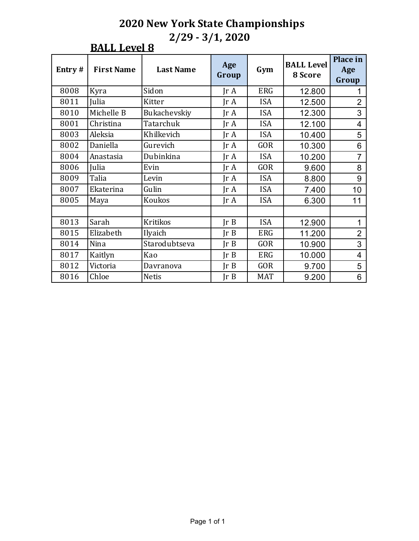#### **BALL Level 8**

| Entry# | <b>First Name</b> | <b>Last Name</b> | Age<br>Group            | Gym        | <b>BALL Level</b><br>8 Score | Place in<br>Age<br>Group |
|--------|-------------------|------------------|-------------------------|------------|------------------------------|--------------------------|
| 8008   | Kyra              | Sidon            | $\text{Tr } \mathbf{A}$ | <b>ERG</b> | 12.800                       |                          |
| 8011   | Julia             | Kitter           | $\text{Tr } \mathbf{A}$ | <b>ISA</b> | 12.500                       | $\overline{2}$           |
| 8010   | Michelle B        | Bukachevskiy     | $\text{Tr }A$           | <b>ISA</b> | 12.300                       | 3                        |
| 8001   | Christina         | Tatarchuk        | $\text{Tr }A$           | <b>ISA</b> | 12.100                       | 4                        |
| 8003   | Aleksia           | Khilkevich       | $\text{Tr }A$           | <b>ISA</b> | 10.400                       | 5                        |
| 8002   | Daniella          | Gurevich         | $\text{Tr } \mathbf{A}$ | <b>GOR</b> | 10.300                       | 6                        |
| 8004   | Anastasia         | Dubinkina        | $\text{Tr }A$           | <b>ISA</b> | 10.200                       | $\overline{7}$           |
| 8006   | Julia             | Evin             | $\text{Tr } \mathbf{A}$ | <b>GOR</b> | 9.600                        | 8                        |
| 8009   | Talia             | Levin            | $\text{Tr }A$           | <b>ISA</b> | 8.800                        | 9                        |
| 8007   | Ekaterina         | Gulin            | $\text{Tr }A$           | <b>ISA</b> | 7.400                        | 10                       |
| 8005   | Maya              | Koukos           | $\text{Tr } \mathbf{A}$ | <b>ISA</b> | 6.300                        | 11                       |
|        |                   |                  |                         |            |                              |                          |
| 8013   | Sarah             | <b>Kritikos</b>  | $\text{Ir }B$           | <b>ISA</b> | 12.900                       | 1                        |
| 8015   | Elizabeth         | Ilyaich          | $\text{Tr } B$          | <b>ERG</b> | 11.200                       | $\overline{2}$           |
| 8014   | Nina              | Starodubtseva    | Ir B                    | <b>GOR</b> | 10.900                       | 3                        |
| 8017   | Kaitlyn           | Kao              | Ir B                    | ERG        | 10.000                       | 4                        |
| 8012   | Victoria          | Davranova        | JrB                     | <b>GOR</b> | 9.700                        | 5                        |
| 8016   | Chloe             | <b>Netis</b>     | JrB                     | <b>MAT</b> | 9.200                        | 6                        |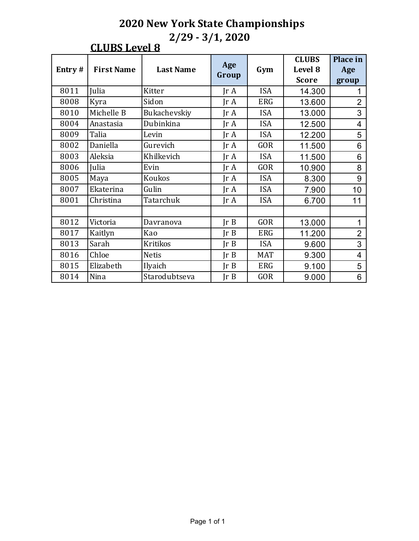## **CLUBS Level 8**

|        | <b>First Name</b> | <b>Last Name</b> |                         |            | <b>CLUBS</b> | Place in       |
|--------|-------------------|------------------|-------------------------|------------|--------------|----------------|
| Entry# |                   |                  | Age<br>Group            | Gym        | Level 8      | Age            |
|        |                   |                  |                         |            | <b>Score</b> | group          |
| 8011   | Julia             | Kitter           | $\text{Tr } \mathbf{A}$ | <b>ISA</b> | 14.300       |                |
| 8008   | Kyra              | Sidon            | $\text{Tr } \mathbf{A}$ | <b>ERG</b> | 13.600       | $\overline{2}$ |
| 8010   | Michelle B        | Bukachevskiy     | $\text{Tr } \mathbf{A}$ | <b>ISA</b> | 13.000       | 3              |
| 8004   | Anastasia         | Dubinkina        | $\text{Tr }A$           | <b>ISA</b> | 12.500       | 4              |
| 8009   | Talia             | Levin            | JrA                     | <b>ISA</b> | 12.200       | 5              |
| 8002   | Daniella          | Gurevich         | $\text{Tr } \mathbf{A}$ | <b>GOR</b> | 11.500       | 6              |
| 8003   | Aleksia           | Khilkevich       | $\text{Tr } \mathbf{A}$ | <b>ISA</b> | 11.500       | 6              |
| 8006   | Julia             | Evin             | $\text{Tr } \mathbf{A}$ | <b>GOR</b> | 10.900       | 8              |
| 8005   | Maya              | Koukos           | $\text{Tr } \mathbf{A}$ | <b>ISA</b> | 8.300        | 9              |
| 8007   | Ekaterina         | Gulin            | $\text{Tr } \mathbf{A}$ | <b>ISA</b> | 7.900        | 10             |
| 8001   | Christina         | Tatarchuk        | $\text{Tr } \mathbf{A}$ | <b>ISA</b> | 6.700        | 11             |
|        |                   |                  |                         |            |              |                |
| 8012   | Victoria          | Davranova        | Ir B                    | <b>GOR</b> | 13.000       | 1              |
| 8017   | Kaitlyn           | Kao              | Ir B                    | <b>ERG</b> | 11.200       | $\overline{2}$ |
| 8013   | Sarah             | <b>Kritikos</b>  | JrB                     | <b>ISA</b> | 9.600        | 3              |
| 8016   | Chloe             | <b>Netis</b>     | Ir B                    | <b>MAT</b> | 9.300        | $\overline{4}$ |
| 8015   | Elizabeth         | Ilyaich          | $\text{Ir }B$           | <b>ERG</b> | 9.100        | 5              |
| 8014   | Nina              | Starodubtseva    | Ir B                    | <b>GOR</b> | 9.000        | 6              |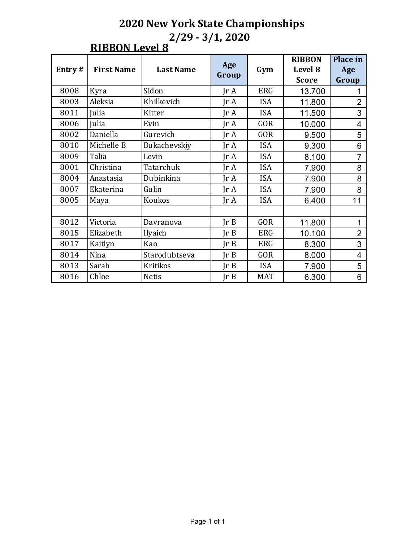#### **RIBBON Level 8**

|        | <b>First Name</b> | <b>Last Name</b> |                         |            | <b>RIBBON</b> | Place in       |
|--------|-------------------|------------------|-------------------------|------------|---------------|----------------|
| Entry# |                   |                  | Age                     | Gym        | Level 8       | Age            |
|        |                   |                  | Group                   |            | <b>Score</b>  | Group          |
| 8008   | Kyra              | Sidon            | $\text{Tr } \mathbf{A}$ | <b>ERG</b> | 13.700        |                |
| 8003   | Aleksia           | Khilkevich       | $\text{Tr } \mathbf{A}$ | <b>ISA</b> | 11.800        | $\overline{2}$ |
| 8011   | Julia             | Kitter           | $\text{Tr }A$           | <b>ISA</b> | 11.500        | 3              |
| 8006   | Julia             | Evin             | $\text{Tr }A$           | <b>GOR</b> | 10.000        | 4              |
| 8002   | Daniella          | Gurevich         | $\text{Tr }A$           | <b>GOR</b> | 9.500         | 5              |
| 8010   | Michelle B        | Bukachevskiy     | $\text{Tr } \mathbf{A}$ | <b>ISA</b> | 9.300         | 6              |
| 8009   | Talia             | Levin            | $\text{Tr } \mathbf{A}$ | <b>ISA</b> | 8.100         | $\overline{7}$ |
| 8001   | Christina         | Tatarchuk        | $\text{Tr } \mathbf{A}$ | <b>ISA</b> | 7.900         | 8              |
| 8004   | Anastasia         | Dubinkina        | $\text{Tr } \mathbf{A}$ | <b>ISA</b> | 7.900         | 8              |
| 8007   | Ekaterina         | Gulin            | $\text{Tr } \mathbf{A}$ | <b>ISA</b> | 7.900         | 8              |
| 8005   | Maya              | Koukos           | $\text{Tr } \mathbf{A}$ | <b>ISA</b> | 6.400         | 11             |
|        |                   |                  |                         |            |               |                |
| 8012   | Victoria          | Davranova        | $\text{Ir }B$           | <b>GOR</b> | 11.800        | 1              |
| 8015   | Elizabeth         | Ilyaich          | Ir B                    | ERG        | 10.100        | $\overline{2}$ |
| 8017   | Kaitlyn           | Kao              | Ir B                    | ERG        | 8.300         | 3              |
| 8014   | Nina              | Starodubtseva    | Ir B                    | <b>GOR</b> | 8.000         | 4              |
| 8013   | Sarah             | <b>Kritikos</b>  | JrB                     | <b>ISA</b> | 7.900         | 5              |
| 8016   | Chloe             | <b>Netis</b>     | JrB                     | <b>MAT</b> | 6.300         | 6              |